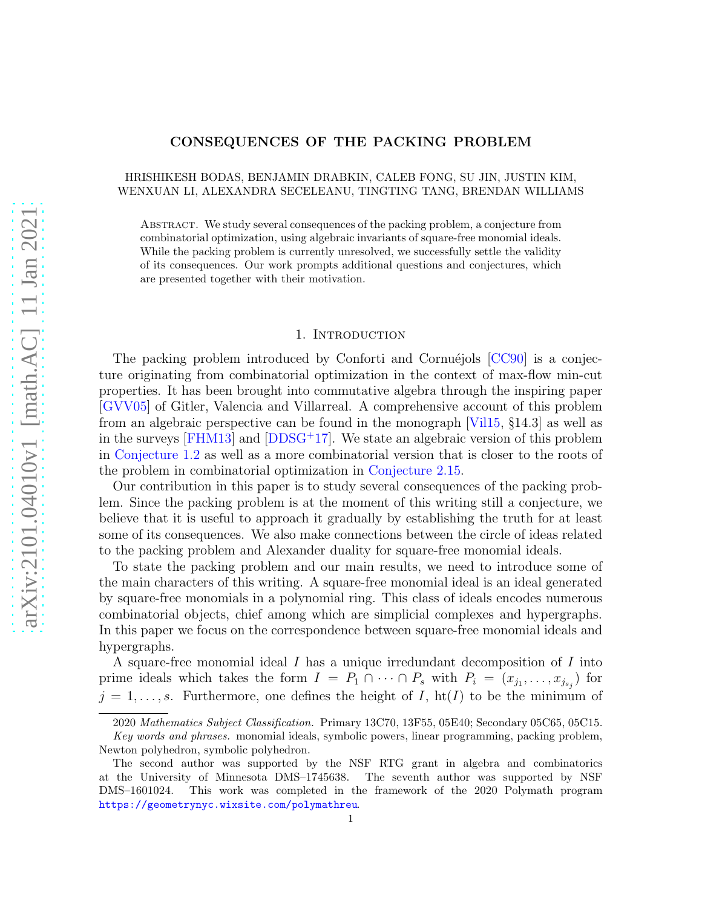## CONSEQUENCES OF THE PACKING PROBLEM

# HRISHIKESH BODAS, BENJAMIN DRABKIN, CALEB FONG, SU JIN, JUSTIN KIM, WENXUAN LI, ALEXANDRA SECELEANU, TINGTING TANG, BRENDAN WILLIAMS

Abstract. We study several consequences of the packing problem, a conjecture from combinatorial optimization, using algebraic invariants of square-free monomial ideals. While the packing problem is currently unresolved, we successfully settle the validity of its consequences. Our work prompts additional questions and conjectures, which are presented together with their motivation.

### 1. INTRODUCTION

The packing problem introduced by Conforti and Cornuéjols  $[CC90]$  is a conjecture originating from combinatorial optimization in the context of max-flow min-cut properties. It has been brought into commutative algebra through the inspiring paper [\[GVV05\]](#page-19-1) of Gitler, Valencia and Villarreal. A comprehensive account of this problem from an algebraic perspective can be found in the monograph [\[Vil15,](#page-20-0) §14.3] as well as in the surveys [\[FHM13\]](#page-19-2) and [\[DDSG](#page-19-3)<sup>+</sup>17]. We state an algebraic version of this problem in [Conjecture 1.2](#page-1-0) as well as a more combinatorial version that is closer to the roots of the problem in combinatorial optimization in [Conjecture 2.15.](#page-6-0)

Our contribution in this paper is to study several consequences of the packing problem. Since the packing problem is at the moment of this writing still a conjecture, we believe that it is useful to approach it gradually by establishing the truth for at least some of its consequences. We also make connections between the circle of ideas related to the packing problem and Alexander duality for square-free monomial ideals.

To state the packing problem and our main results, we need to introduce some of the main characters of this writing. A square-free monomial ideal is an ideal generated by square-free monomials in a polynomial ring. This class of ideals encodes numerous combinatorial objects, chief among which are simplicial complexes and hypergraphs. In this paper we focus on the correspondence between square-free monomial ideals and hypergraphs.

A square-free monomial ideal I has a unique irredundant decomposition of I into prime ideals which takes the form  $I = P_1 \cap \cdots \cap P_s$  with  $P_i = (x_{j_1}, \ldots, x_{j_{s_j}})$  for  $j = 1, \ldots, s$ . Furthermore, one defines the height of I, ht(I) to be the minimum of

<sup>2020</sup> *Mathematics Subject Classification.* Primary 13C70, 13F55, 05E40; Secondary 05C65, 05C15. *Key words and phrases.* monomial ideals, symbolic powers, linear programming, packing problem,

Newton polyhedron, symbolic polyhedron.

The second author was supported by the NSF RTG grant in algebra and combinatorics at the University of Minnesota DMS–1745638. The seventh author was supported by NSF DMS–1601024. This work was completed in the framework of the 2020 Polymath program <https://geometrynyc.wixsite.com/polymathreu>.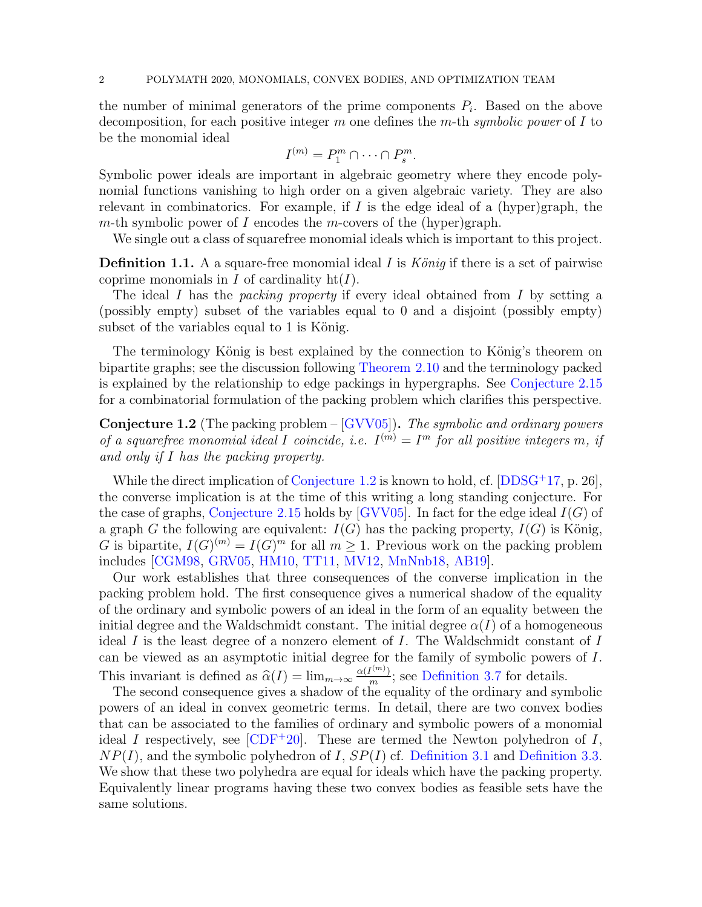the number of minimal generators of the prime components  $P_i$ . Based on the above decomposition, for each positive integer m one defines the m-th *symbolic power* of I to be the monomial ideal

$$
I^{(m)} = P_1^m \cap \cdots \cap P_s^m.
$$

Symbolic power ideals are important in algebraic geometry where they encode polynomial functions vanishing to high order on a given algebraic variety. They are also relevant in combinatorics. For example, if  $I$  is the edge ideal of a (hyper)graph, the m-th symbolic power of I encodes the m-covers of the (hyper)graph.

<span id="page-1-1"></span>We single out a class of squarefree monomial ideals which is important to this project.

**Definition 1.1.** A a square-free monomial ideal I is *König* if there is a set of pairwise coprime monomials in  $I$  of cardinality  $ht(I)$ .

The ideal I has the *packing property* if every ideal obtained from I by setting a (possibly empty) subset of the variables equal to 0 and a disjoint (possibly empty) subset of the variables equal to  $1$  is König.

The terminology König is best explained by the connection to König's theorem on bipartite graphs; see the discussion following [Theorem 2.10](#page-5-0) and the terminology packed is explained by the relationship to edge packings in hypergraphs. See [Conjecture 2.15](#page-6-0) for a combinatorial formulation of the packing problem which clarifies this perspective.

<span id="page-1-0"></span>Conjecture 1.2 (The packing problem – [\[GVV05\]](#page-19-1)). *The symbolic and ordinary powers of a squarefree monomial ideal* I *coincide, i.e.*  $I^{(m)} = I^m$  *for all positive integers m, if and only if* I *has the packing property.*

While the direct implication of [Conjecture 1.2](#page-1-0) is known to hold, cf.  $[DDSG^+17, p. 26]$ , the converse implication is at the time of this writing a long standing conjecture. For the case of graphs, [Conjecture 2.15](#page-6-0) holds by [\[GVV05\]](#page-19-1). In fact for the edge ideal  $I(G)$  of a graph G the following are equivalent:  $I(G)$  has the packing property,  $I(G)$  is König, G is bipartite,  $I(G)^{(m)} = I(G)^m$  for all  $m \geq 1$ . Previous work on the packing problem includes [\[CGM98,](#page-19-4) [GRV05,](#page-19-5) [HM10,](#page-19-6) [TT11,](#page-20-1) [MV12,](#page-19-7) [MnNnb18,](#page-19-8) [AB19\]](#page-18-0).

Our work establishes that three consequences of the converse implication in the packing problem hold. The first consequence gives a numerical shadow of the equality of the ordinary and symbolic powers of an ideal in the form of an equality between the initial degree and the Waldschmidt constant. The initial degree  $\alpha(I)$  of a homogeneous ideal I is the least degree of a nonzero element of I. The Waldschmidt constant of I can be viewed as an asymptotic initial degree for the family of symbolic powers of I. This invariant is defined as  $\widehat{\alpha}(I) = \lim_{m \to \infty} \frac{\alpha(I^{(m)})}{m}$  $\frac{m}{m}$ ; see [Definition 3.7](#page-8-0) for details.

The second consequence gives a shadow of the equality of the ordinary and symbolic powers of an ideal in convex geometric terms. In detail, there are two convex bodies that can be associated to the families of ordinary and symbolic powers of a monomial ideal I respectively, see  $[CDF^+20]$ . These are termed the Newton polyhedron of I,  $NP(I)$ , and the symbolic polyhedron of I,  $SP(I)$  cf. [Definition 3.1](#page-7-0) and [Definition 3.3.](#page-7-1) We show that these two polyhedra are equal for ideals which have the packing property. Equivalently linear programs having these two convex bodies as feasible sets have the same solutions.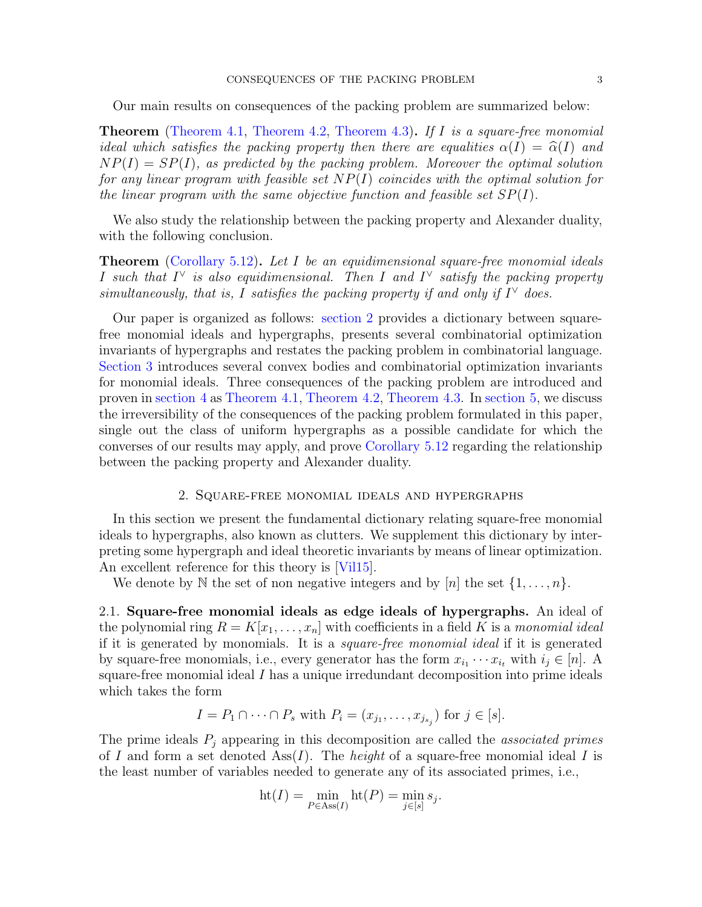Our main results on consequences of the packing problem are summarized below:

Theorem [\(Theorem 4.1,](#page-11-0) [Theorem 4.2,](#page-11-1) [Theorem 4.3\)](#page-11-2). *If* I *is a square-free monomial ideal which satisfies the packing property then there are equalities*  $\alpha(I) = \hat{\alpha}(I)$  *and*  $NP(I) = SP(I)$ *, as predicted by the packing problem. Moreover the optimal solution for any linear program with feasible set* NP(I) *coincides with the optimal solution for the linear program with the same objective function and feasible set* SP(I)*.*

We also study the relationship between the packing property and Alexander duality, with the following conclusion.

Theorem [\(Corollary 5.12\)](#page-18-1). *Let* I *be an equidimensional square-free monomial ideals* I such that  $I^{\vee}$  is also equidimensional. Then I and  $I^{\vee}$  satisfy the packing property *simultaneously, that is,* I *satisfies the packing property if and only if*  $I^{\vee}$  *does.* 

Our paper is organized as follows: [section 2](#page-2-0) provides a dictionary between squarefree monomial ideals and hypergraphs, presents several combinatorial optimization invariants of hypergraphs and restates the packing problem in combinatorial language. [Section 3](#page-6-1) introduces several convex bodies and combinatorial optimization invariants for monomial ideals. Three consequences of the packing problem are introduced and proven in [section 4](#page-10-0) as [Theorem 4.1,](#page-11-0) [Theorem 4.2,](#page-11-1) [Theorem 4.3.](#page-11-2) In [section 5,](#page-14-0) we discuss the irreversibility of the consequences of the packing problem formulated in this paper, single out the class of uniform hypergraphs as a possible candidate for which the converses of our results may apply, and prove [Corollary 5.12](#page-18-1) regarding the relationship between the packing property and Alexander duality.

#### 2. Square-free monomial ideals and hypergraphs

<span id="page-2-0"></span>In this section we present the fundamental dictionary relating square-free monomial ideals to hypergraphs, also known as clutters. We supplement this dictionary by interpreting some hypergraph and ideal theoretic invariants by means of linear optimization. An excellent reference for this theory is [\[Vil15\]](#page-20-0).

We denote by N the set of non negative integers and by  $[n]$  the set  $\{1, \ldots, n\}$ .

2.1. Square-free monomial ideals as edge ideals of hypergraphs. An ideal of the polynomial ring  $R = K[x_1, \ldots, x_n]$  with coefficients in a field K is a *monomial ideal* if it is generated by monomials. It is a *square-free monomial ideal* if it is generated by square-free monomials, i.e., every generator has the form  $x_{i_1} \cdots x_{i_t}$  with  $i_j \in [n]$ . A square-free monomial ideal  $I$  has a unique irredundant decomposition into prime ideals which takes the form

$$
I = P_1 \cap \cdots \cap P_s \text{ with } P_i = (x_{j_1}, \ldots, x_{j_{s_j}}) \text{ for } j \in [s].
$$

The prime ideals P<sup>j</sup> appearing in this decomposition are called the *associated primes* of I and form a set denoted Ass(I). The *height* of a square-free monomial ideal I is the least number of variables needed to generate any of its associated primes, i.e.,

$$
ht(I) = \min_{P \in Ass(I)} ht(P) = \min_{j \in [s]} s_j.
$$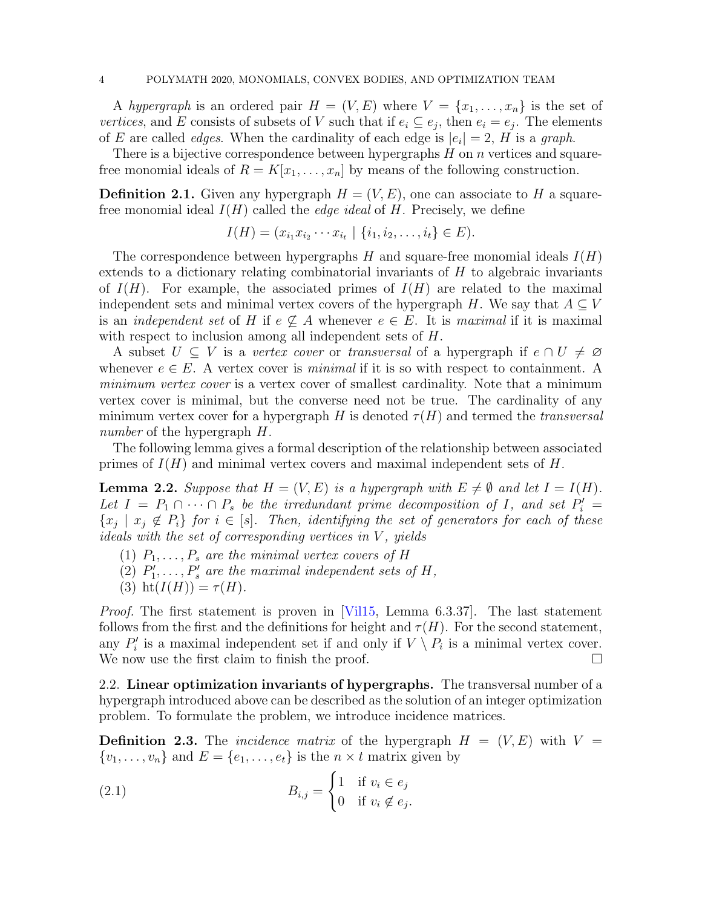A *hypergraph* is an ordered pair  $H = (V, E)$  where  $V = \{x_1, \ldots, x_n\}$  is the set of *vertices*, and E consists of subsets of V such that if  $e_i \subseteq e_j$ , then  $e_i = e_j$ . The elements of E are called *edges*. When the cardinality of each edge is  $|e_i| = 2$ , H is a *graph*.

There is a bijective correspondence between hypergraphs  $H$  on  $n$  vertices and squarefree monomial ideals of  $R = K[x_1, \ldots, x_n]$  by means of the following construction.

**Definition 2.1.** Given any hypergraph  $H = (V, E)$ , one can associate to H a squarefree monomial ideal  $I(H)$  called the *edge ideal* of H. Precisely, we define

$$
I(H) = (x_{i_1}x_{i_2}\cdots x_{i_t} \mid \{i_1, i_2, \ldots, i_t\} \in E).
$$

The correspondence between hypergraphs  $H$  and square-free monomial ideals  $I(H)$ extends to a dictionary relating combinatorial invariants of  $H$  to algebraic invariants of  $I(H)$ . For example, the associated primes of  $I(H)$  are related to the maximal independent sets and minimal vertex covers of the hypergraph H. We say that  $A \subseteq V$ is an *independent set* of H if  $e \nsubseteq A$  whenever  $e \in E$ . It is *maximal* if it is maximal with respect to inclusion among all independent sets of H.

A subset  $U \subseteq V$  is a *vertex cover* or *transversal* of a hypergraph if  $e \cap U \neq \emptyset$ whenever  $e \in E$ . A vertex cover is *minimal* if it is so with respect to containment. A *minimum vertex cover* is a vertex cover of smallest cardinality. Note that a minimum vertex cover is minimal, but the converse need not be true. The cardinality of any minimum vertex cover for a hypergraph H is denoted  $\tau(H)$  and termed the *transversal number* of the hypergraph H.

<span id="page-3-1"></span>The following lemma gives a formal description of the relationship between associated primes of  $I(H)$  and minimal vertex covers and maximal independent sets of H.

**Lemma 2.2.** *Suppose that*  $H = (V, E)$  *is a hypergraph with*  $E \neq \emptyset$  *and let*  $I = I(H)$ *.* Let  $I = P_1 \cap \cdots \cap P_s$  be the irredundant prime decomposition of I, and set  $P'_i =$  $\{x_j \mid x_j \notin P_i\}$  for  $i \in [s]$ . Then, identifying the set of generators for each of these *ideals with the set of corresponding vertices in* V *, yields*

- $(1)$   $P_1, \ldots, P_s$  are the minimal vertex covers of H
- (2)  $P'_1, \ldots, P'_s$  are the maximal independent sets of  $H$ ,
- (3) ht $(I(H)) = \tau(H)$ *.*

*Proof.* The first statement is proven in [\[Vil15,](#page-20-0) Lemma 6.3.37]. The last statement follows from the first and the definitions for height and  $\tau(H)$ . For the second statement, any  $P'_i$  is a maximal independent set if and only if  $V \setminus P_i$  is a minimal vertex cover. We now use the first claim to finish the proof.  $\Box$ 

<span id="page-3-2"></span>2.2. Linear optimization invariants of hypergraphs. The transversal number of a hypergraph introduced above can be described as the solution of an integer optimization problem. To formulate the problem, we introduce incidence matrices.

<span id="page-3-3"></span>**Definition 2.3.** The *incidence matrix* of the hypergraph  $H = (V, E)$  with  $V =$  $\{v_1, \ldots, v_n\}$  and  $E = \{e_1, \ldots, e_t\}$  is the  $n \times t$  matrix given by

<span id="page-3-0"></span>(2.1) 
$$
B_{i,j} = \begin{cases} 1 & \text{if } v_i \in e_j \\ 0 & \text{if } v_i \notin e_j. \end{cases}
$$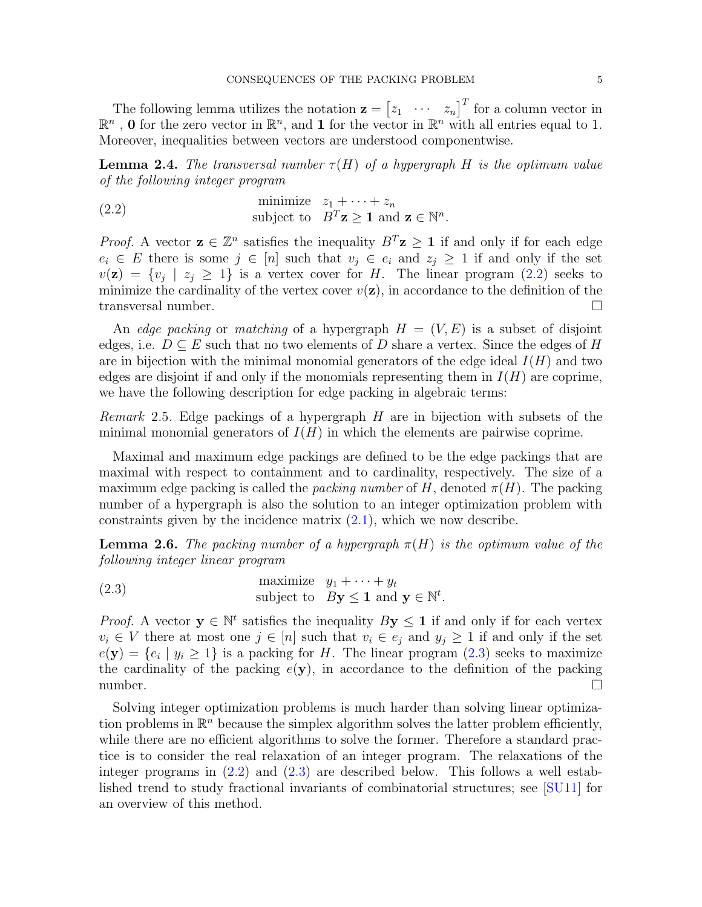The following lemma utilizes the notation  $\mathbf{z} = \begin{bmatrix} z_1 & \cdots & z_n \end{bmatrix}^T$  for a column vector in  $\mathbb{R}^n$ , **0** for the zero vector in  $\mathbb{R}^n$ , and **1** for the vector in  $\mathbb{R}^n$  with all entries equal to 1. Moreover, inequalities between vectors are understood componentwise.

<span id="page-4-2"></span>**Lemma 2.4.** The transversal number  $\tau(H)$  of a hypergraph H is the optimum value *of the following integer program*

<span id="page-4-0"></span>(2.2) minimize 
$$
z_1 + \cdots + z_n
$$
  
subject to  $B^T \mathbf{z} \geq \mathbf{1}$  and  $\mathbf{z} \in \mathbb{N}^n$ .

*Proof.* A vector  $z \in \mathbb{Z}^n$  satisfies the inequality  $B^T z \geq 1$  if and only if for each edge  $e_i \in E$  there is some  $j \in [n]$  such that  $v_j \in e_i$  and  $z_j \geq 1$  if and only if the set  $v(\mathbf{z}) = \{v_j \mid z_j \geq 1\}$  is a vertex cover for H. The linear program  $(2.2)$  seeks to minimize the cardinality of the vertex cover  $v(\mathbf{z})$ , in accordance to the definition of the transversal number.

An *edge packing* or *matching* of a hypergraph  $H = (V, E)$  is a subset of disjoint edges, i.e.  $D \subseteq E$  such that no two elements of D share a vertex. Since the edges of H are in bijection with the minimal monomial generators of the edge ideal  $I(H)$  and two edges are disjoint if and only if the monomials representing them in  $I(H)$  are coprime, we have the following description for edge packing in algebraic terms:

<span id="page-4-4"></span>*Remark* 2.5*.* Edge packings of a hypergraph H are in bijection with subsets of the minimal monomial generators of  $I(H)$  in which the elements are pairwise coprime.

Maximal and maximum edge packings are defined to be the edge packings that are maximal with respect to containment and to cardinality, respectively. The size of a maximum edge packing is called the *packing number* of H, denoted  $\pi(H)$ . The packing number of a hypergraph is also the solution to an integer optimization problem with constraints given by the incidence matrix  $(2.1)$ , which we now describe.

<span id="page-4-3"></span>**Lemma 2.6.** The packing number of a hypergraph  $\pi(H)$  is the optimum value of the *following integer linear program*

<span id="page-4-1"></span>(2.3) maximize 
$$
y_1 + \cdots + y_t
$$
  
subject to  $By \leq 1$  and  $\mathbf{y} \in \mathbb{N}^t$ .

*Proof.* A vector  $y \in \mathbb{N}^t$  satisfies the inequality  $By \leq 1$  if and only if for each vertex  $v_i \in V$  there at most one  $j \in [n]$  such that  $v_i \in e_j$  and  $y_j \ge 1$  if and only if the set  $e(\mathbf{y}) = \{e_i \mid y_i \geq 1\}$  is a packing for H. The linear program  $(2.3)$  seeks to maximize the cardinality of the packing  $e(\mathbf{y})$ , in accordance to the definition of the packing number.  $\Box$ 

Solving integer optimization problems is much harder than solving linear optimization problems in  $\mathbb{R}^n$  because the simplex algorithm solves the latter problem efficiently, while there are no efficient algorithms to solve the former. Therefore a standard practice is to consider the real relaxation of an integer program. The relaxations of the integer programs in  $(2.2)$  and  $(2.3)$  are described below. This follows a well established trend to study fractional invariants of combinatorial structures; see [\[SU11\]](#page-20-2) for an overview of this method.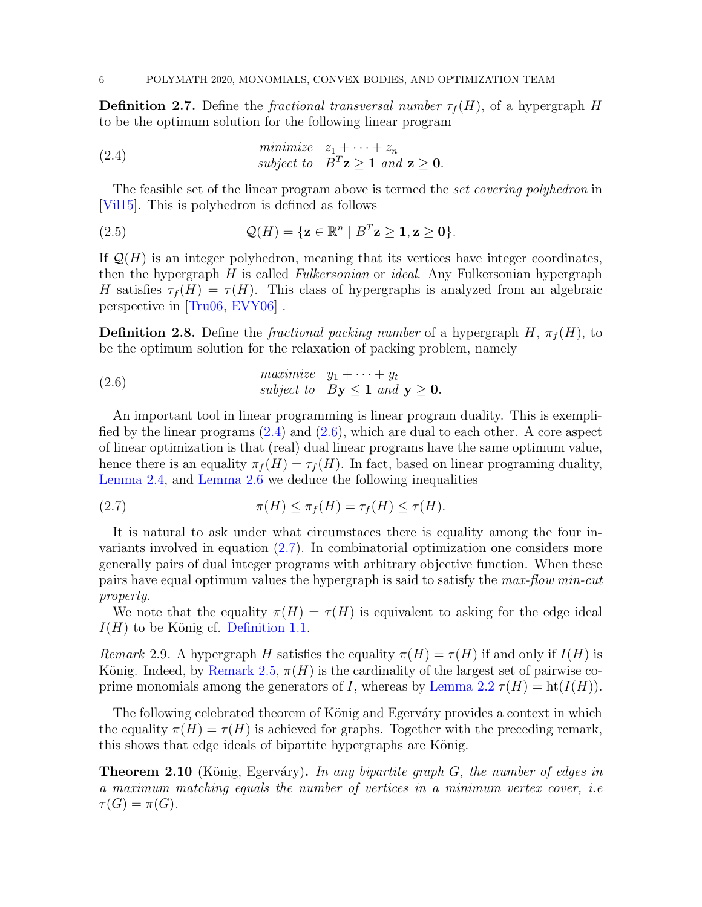**Definition 2.7.** Define the *fractional transversal number*  $\tau_f(H)$ , of a hypergraph H to be the optimum solution for the following linear program

<span id="page-5-1"></span>(2.4)   
minimize 
$$
z_1 + \cdots + z_n
$$
  
subject to  $B^T \mathbf{z} \ge \mathbf{1}$  and  $\mathbf{z} \ge \mathbf{0}$ .

The feasible set of the linear program above is termed the *set covering polyhedron* in [\[Vil15\]](#page-20-0). This is polyhedron is defined as follows

<span id="page-5-5"></span>(2.5) 
$$
\mathcal{Q}(H) = \{ \mathbf{z} \in \mathbb{R}^n \mid B^T \mathbf{z} \geq \mathbf{1}, \mathbf{z} \geq \mathbf{0} \}.
$$

If  $\mathcal{Q}(H)$  is an integer polyhedron, meaning that its vertices have integer coordinates, then the hypergraph H is called *Fulkersonian* or *ideal*. Any Fulkersonian hypergraph H satisfies  $\tau_f(H) = \tau(H)$ . This class of hypergraphs is analyzed from an algebraic perspective in [\[Tru06,](#page-20-3) [EVY06\]](#page-19-10) .

**Definition 2.8.** Define the *fractional packing number* of a hypergraph  $H$ ,  $\pi_f(H)$ , to be the optimum solution for the relaxation of packing problem, namely

<span id="page-5-2"></span>(2.6) *maximize* 
$$
y_1 + \cdots + y_t
$$
  
\nsubject to  $By \leq 1$  and  $y \geq 0$ .

An important tool in linear programming is linear program duality. This is exemplified by the linear programs  $(2.4)$  and  $(2.6)$ , which are dual to each other. A core aspect of linear optimization is that (real) dual linear programs have the same optimum value, hence there is an equality  $\pi_f(H) = \tau_f(H)$ . In fact, based on linear programing duality, [Lemma 2.4,](#page-4-2) and [Lemma 2.6](#page-4-3) we deduce the following inequalities

<span id="page-5-3"></span>(2.7) 
$$
\pi(H) \leq \pi_f(H) = \tau_f(H) \leq \tau(H).
$$

It is natural to ask under what circumstaces there is equality among the four invariants involved in equation [\(2.7\)](#page-5-3). In combinatorial optimization one considers more generally pairs of dual integer programs with arbitrary objective function. When these pairs have equal optimum values the hypergraph is said to satisfy the *max-flow min-cut property*.

<span id="page-5-4"></span>We note that the equality  $\pi(H) = \tau(H)$  is equivalent to asking for the edge ideal  $I(H)$  to be König cf. [Definition 1.1.](#page-1-1)

*Remark* 2.9. A hypergraph H satisfies the equality  $\pi(H) = \tau(H)$  if and only if  $I(H)$  is König. Indeed, by [Remark 2.5,](#page-4-4)  $\pi(H)$  is the cardinality of the largest set of pairwise co-prime monomials among the generators of I, whereas by [Lemma 2.2](#page-3-1)  $\tau(H) = \text{ht}(I(H))$ .

The following celebrated theorem of König and Egerváry provides a context in which the equality  $\pi(H) = \tau(H)$  is achieved for graphs. Together with the preceding remark, this shows that edge ideals of bipartite hypergraphs are König.

<span id="page-5-0"></span>**Theorem 2.10** (König, Egerváry). In any bipartite graph G, the number of edges in *a maximum matching equals the number of vertices in a minimum vertex cover, i.e*  $\tau(G) = \pi(G)$ .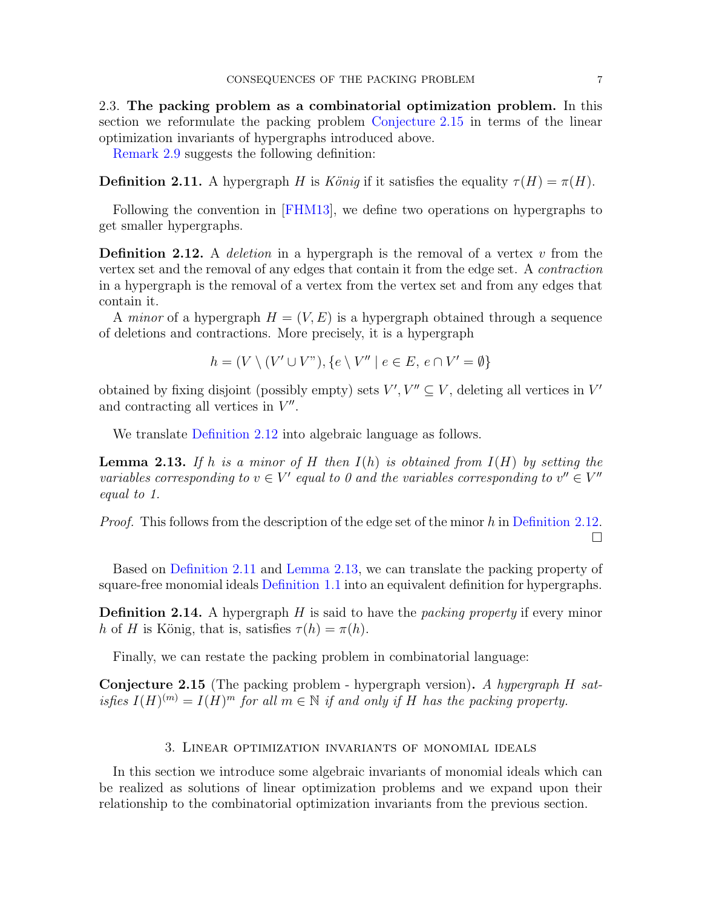2.3. The packing problem as a combinatorial optimization problem. In this section we reformulate the packing problem [Conjecture 2.15](#page-6-0) in terms of the linear optimization invariants of hypergraphs introduced above.

<span id="page-6-3"></span>[Remark 2.9](#page-5-4) suggests the following definition:

**Definition 2.11.** A hypergraph H is *König* if it satisfies the equality  $\tau(H) = \pi(H)$ .

<span id="page-6-2"></span>Following the convention in [\[FHM13\]](#page-19-2), we define two operations on hypergraphs to get smaller hypergraphs.

**Definition 2.12.** A *deletion* in a hypergraph is the removal of a vertex v from the vertex set and the removal of any edges that contain it from the edge set. A *contraction* in a hypergraph is the removal of a vertex from the vertex set and from any edges that contain it.

A *minor* of a hypergraph  $H = (V, E)$  is a hypergraph obtained through a sequence of deletions and contractions. More precisely, it is a hypergraph

$$
h = (V \setminus (V' \cup V''), \{e \setminus V'' \mid e \in E, e \cap V' = \emptyset\}
$$

obtained by fixing disjoint (possibly empty) sets  $V', V'' \subseteq V$ , deleting all vertices in  $V'$ and contracting all vertices in  $V''$ .

<span id="page-6-4"></span>We translate [Definition 2.12](#page-6-2) into algebraic language as follows.

Lemma 2.13. *If* h *is a minor of* H *then* I(h) *is obtained from* I(H) *by setting the variables corresponding to*  $v \in V'$  equal to 0 and the variables corresponding to  $v'' \in V''$ *equal to 1.*

*Proof.* This follows from the description of the edge set of the minor h in [Definition 2.12.](#page-6-2) П

Based on [Definition 2.11](#page-6-3) and [Lemma 2.13,](#page-6-4) we can translate the packing property of square-free monomial ideals [Definition 1.1](#page-1-1) into an equivalent definition for hypergraphs.

Definition 2.14. A hypergraph H is said to have the *packing property* if every minor h of H is König, that is, satisfies  $\tau(h) = \pi(h)$ .

<span id="page-6-0"></span>Finally, we can restate the packing problem in combinatorial language:

Conjecture 2.15 (The packing problem - hypergraph version). *A hypergraph* H *satisfies*  $I(H)^{(m)} = I(H)^m$  *for all*  $m \in \mathbb{N}$  *if and only if* H *has the packing property.* 

### 3. Linear optimization invariants of monomial ideals

<span id="page-6-1"></span>In this section we introduce some algebraic invariants of monomial ideals which can be realized as solutions of linear optimization problems and we expand upon their relationship to the combinatorial optimization invariants from the previous section.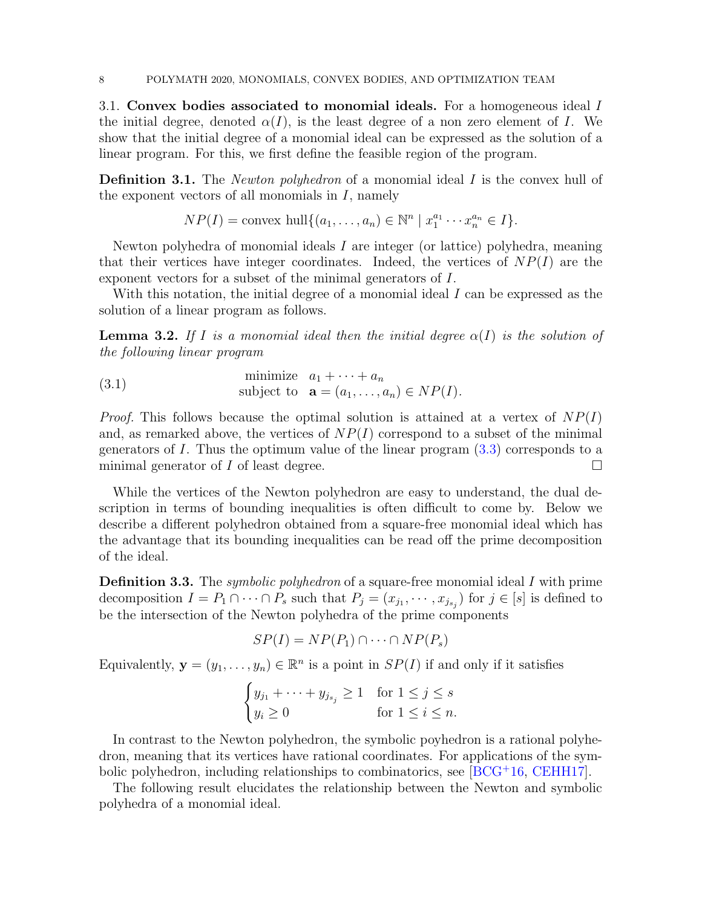3.1. Convex bodies associated to monomial ideals. For a homogeneous ideal I the initial degree, denoted  $\alpha(I)$ , is the least degree of a non zero element of I. We show that the initial degree of a monomial ideal can be expressed as the solution of a linear program. For this, we first define the feasible region of the program.

<span id="page-7-0"></span>**Definition 3.1.** The *Newton polyhedron* of a monomial ideal I is the convex hull of the exponent vectors of all monomials in  $I$ , namely

$$
NP(I) = \text{convex hull}\{(a_1, \ldots, a_n) \in \mathbb{N}^n \mid x_1^{a_1} \cdots x_n^{a_n} \in I\}.
$$

Newton polyhedra of monomial ideals  $I$  are integer (or lattice) polyhedra, meaning that their vertices have integer coordinates. Indeed, the vertices of  $NP(I)$  are the exponent vectors for a subset of the minimal generators of I.

<span id="page-7-2"></span>With this notation, the initial degree of a monomial ideal I can be expressed as the solution of a linear program as follows.

**Lemma 3.2.** If I is a monomial ideal then the initial degree  $\alpha(I)$  is the solution of *the following linear program*

(3.1) minimize 
$$
a_1 + \cdots + a_n
$$
  
subject to  $\mathbf{a} = (a_1, \ldots, a_n) \in NP(I)$ .

*Proof.* This follows because the optimal solution is attained at a vertex of  $NP(I)$ and, as remarked above, the vertices of  $NP(I)$  correspond to a subset of the minimal generators of  $I$ . Thus the optimum value of the linear program  $(3.3)$  corresponds to a minimal generator of  $I$  of least degree.

While the vertices of the Newton polyhedron are easy to understand, the dual description in terms of bounding inequalities is often difficult to come by. Below we describe a different polyhedron obtained from a square-free monomial ideal which has the advantage that its bounding inequalities can be read off the prime decomposition of the ideal.

<span id="page-7-1"></span>Definition 3.3. The *symbolic polyhedron* of a square-free monomial ideal I with prime decomposition  $I = P_1 \cap \cdots \cap P_s$  such that  $P_j = (x_{j_1}, \dots, x_{j_{s_j}})$  for  $j \in [s]$  is defined to be the intersection of the Newton polyhedra of the prime components

$$
SP(I) = NP(P_1) \cap \cdots \cap NP(P_s)
$$

Equivalently,  $\mathbf{y} = (y_1, \dots, y_n) \in \mathbb{R}^n$  is a point in  $SP(I)$  if and only if it satisfies

$$
\begin{cases} y_{j_1} + \dots + y_{j_{s_j}} \ge 1 & \text{for } 1 \le j \le s \\ y_i \ge 0 & \text{for } 1 \le i \le n. \end{cases}
$$

In contrast to the Newton polyhedron, the symbolic poyhedron is a rational polyhedron, meaning that its vertices have rational coordinates. For applications of the symbolic polyhedron, including relationships to combinatorics, see [\[BCG](#page-18-2)<sup>+</sup>16, [CEHH17\]](#page-19-11).

<span id="page-7-3"></span>The following result elucidates the relationship between the Newton and symbolic polyhedra of a monomial ideal.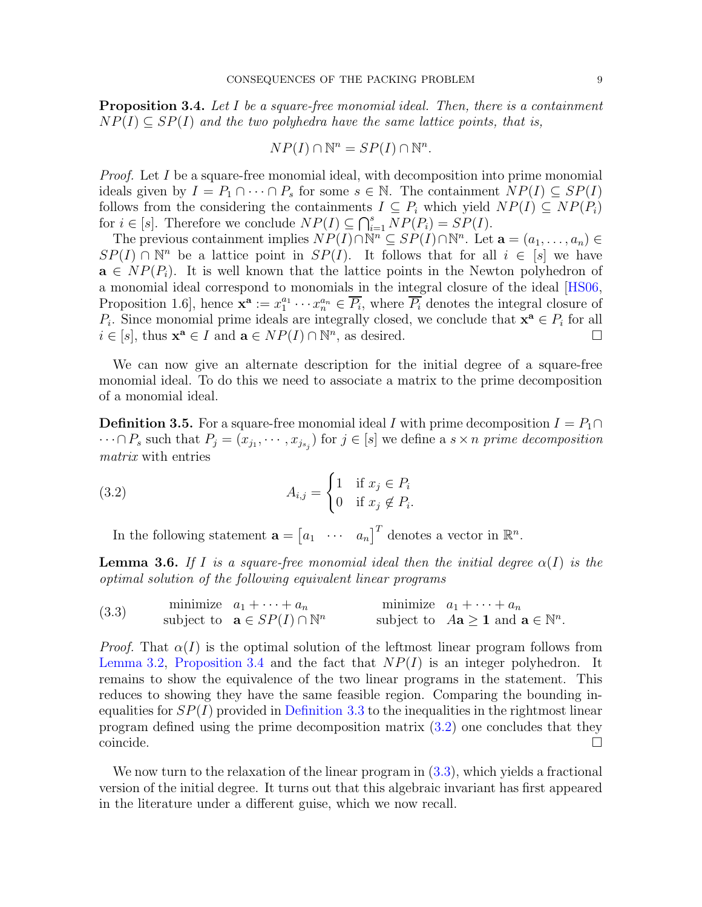Proposition 3.4. *Let* I *be a square-free monomial ideal. Then, there is a containment*  $NP(I) \subseteq SP(I)$  and the two polyhedra have the same lattice points, that is,

$$
NP(I) \cap \mathbb{N}^n = SP(I) \cap \mathbb{N}^n.
$$

*Proof.* Let I be a square-free monomial ideal, with decomposition into prime monomial ideals given by  $I = P_1 \cap \cdots \cap P_s$  for some  $s \in \mathbb{N}$ . The containment  $NP(I) \subseteq SP(I)$ follows from the considering the containments  $I \subseteq P_i$  which yield  $NP(I) \subseteq NP(P_i)$ for  $i \in [s]$ . Therefore we conclude  $NP(I) \subseteq \bigcap_{i=1}^{s} NP(P_i) = SP(I)$ .

The previous containment implies  $NP(I) \cap \mathbb{N}^n \subseteq SP(I) \cap \mathbb{N}^n$ . Let  $\mathbf{a} = (a_1, \ldots, a_n) \in$  $SP(I) \cap \mathbb{N}^n$  be a lattice point in  $SP(I)$ . It follows that for all  $i \in [s]$  we have  $\mathbf{a} \in NP(P_i)$ . It is well known that the lattice points in the Newton polyhedron of a monomial ideal correspond to monomials in the integral closure of the ideal [\[HS06,](#page-19-12) Proposition 1.6, hence  $\mathbf{x}^{\mathbf{a}} := x_1^{a_1} \cdots x_n^{a_n} \in \overline{P_i}$ , where  $\overline{P_i}$  denotes the integral closure of  $P_i$ . Since monomial prime ideals are integrally closed, we conclude that  $\mathbf{x}^{\mathbf{a}} \in P_i$  for all  $i \in [s]$ , thus  $\mathbf{x}^{\mathbf{a}} \in I$  and  $\mathbf{a} \in NP(I) \cap \mathbb{N}^{n}$ , as desired.

<span id="page-8-3"></span>We can now give an alternate description for the initial degree of a square-free monomial ideal. To do this we need to associate a matrix to the prime decomposition of a monomial ideal.

**Definition 3.5.** For a square-free monomial ideal I with prime decomposition  $I = P_1 \cap$  $\cdots \cap P_s$  such that  $P_j = (x_{j_1}, \dots, x_{j_{s_j}})$  for  $j \in [s]$  we define a  $s \times n$  prime decomposition *matrix* with entries

(3.2) 
$$
A_{i,j} = \begin{cases} 1 & \text{if } x_j \in P_i \\ 0 & \text{if } x_j \notin P_i. \end{cases}
$$

<span id="page-8-4"></span><span id="page-8-2"></span>In the following statement  $\mathbf{a} = \begin{bmatrix} a_1 & \cdots & a_n \end{bmatrix}^T$  denotes a vector in  $\mathbb{R}^n$ .

**Lemma 3.6.** If I is a square-free monomial ideal then the initial degree  $\alpha(I)$  is the *optimal solution of the following equivalent linear programs*

<span id="page-8-1"></span>(3.3) minimize 
$$
a_1 + \cdots + a_n
$$
 minimize  $a_1 + \cdots + a_n$   
\nsubject to  $\mathbf{a} \in SP(I) \cap \mathbb{N}^n$  subject to  $A\mathbf{a} \ge \mathbf{1}$  and  $\mathbf{a} \in \mathbb{N}^n$ .

*Proof.* That  $\alpha(I)$  is the optimal solution of the leftmost linear program follows from [Lemma 3.2,](#page-7-2) [Proposition 3.4](#page-7-3) and the fact that  $NP(I)$  is an integer polyhedron. It remains to show the equivalence of the two linear programs in the statement. This reduces to showing they have the same feasible region. Comparing the bounding inequalities for  $SP(I)$  provided in [Definition 3.3](#page-7-1) to the inequalities in the rightmost linear program defined using the prime decomposition matrix [\(3.2\)](#page-8-2) one concludes that they coincide.

<span id="page-8-0"></span>We now turn to the relaxation of the linear program in  $(3.3)$ , which yields a fractional version of the initial degree. It turns out that this algebraic invariant has first appeared in the literature under a different guise, which we now recall.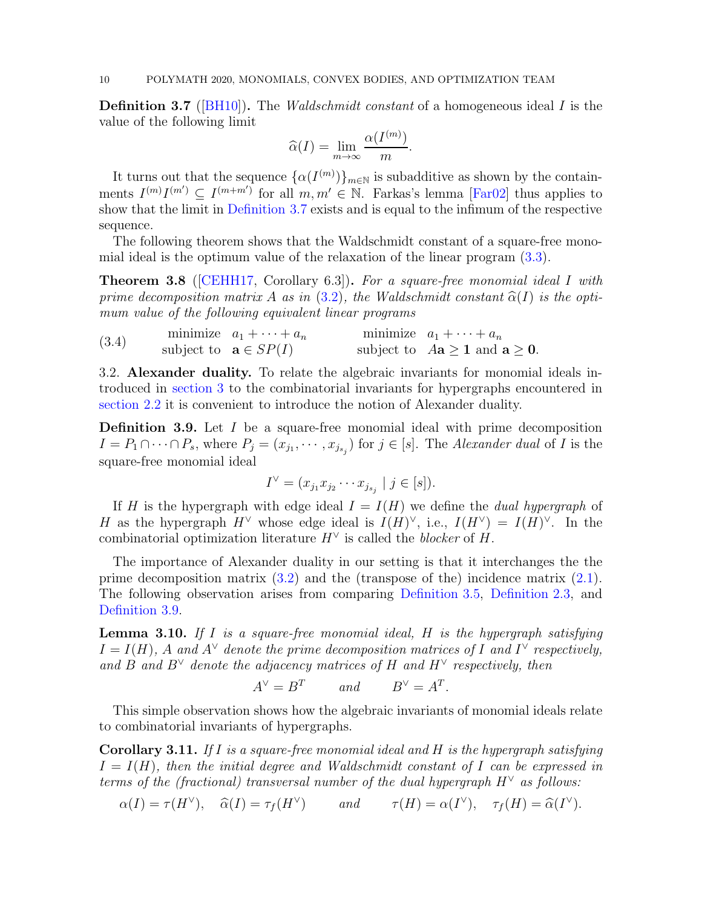Definition 3.7 ([\[BH10\]](#page-19-13)). The *Waldschmidt constant* of a homogeneous ideal I is the value of the following limit

$$
\widehat{\alpha}(I) = \lim_{m \to \infty} \frac{\alpha(I^{(m)})}{m}.
$$

It turns out that the sequence  $\{\alpha(I^{(m)})\}_{m\in\mathbb{N}}$  is subadditive as shown by the containments  $I^{(m)}I^{(m')} \subseteq I^{(m+m')}$  for all  $m, m' \in \mathbb{N}$ . Farkas's lemma [\[Far02\]](#page-19-14) thus applies to show that the limit in [Definition 3.7](#page-8-0) exists and is equal to the infimum of the respective sequence.

<span id="page-9-2"></span>The following theorem shows that the Waldschmidt constant of a square-free monomial ideal is the optimum value of the relaxation of the linear program [\(3.3\)](#page-8-1).

Theorem 3.8 ([\[CEHH17,](#page-19-11) Corollary 6.3]). *For a square-free monomial ideal* I *with prime decomposition matrix* A *as in* [\(3.2\)](#page-8-2)*, the Waldschmidt constant*  $\hat{\alpha}(I)$  *is the optimum value of the following equivalent linear programs*

<span id="page-9-1"></span>(3.4) minimize  $a_1 + \cdots + a_n$  minimize  $a_1 + \cdots + a_n$ <br>subject to  $\mathbf{a} \in SP(I)$  subject to  $A\mathbf{a} \geq \mathbf{0}$ .

3.2. Alexander duality. To relate the algebraic invariants for monomial ideals introduced in [section 3](#page-6-1) to the combinatorial invariants for hypergraphs encountered in [section 2.2](#page-3-2) it is convenient to introduce the notion of Alexander duality.

<span id="page-9-0"></span>**Definition 3.9.** Let  $I$  be a square-free monomial ideal with prime decomposition  $I = P_1 \cap \cdots \cap P_s$ , where  $P_j = (x_{j_1}, \dots, x_{j_{s_j}})$  for  $j \in [s]$ . The *Alexander dual* of *I* is the square-free monomial ideal

$$
I^{\vee} = (x_{j_1} x_{j_2} \cdots x_{j_{s_j}} \mid j \in [s]).
$$

If H is the hypergraph with edge ideal  $I = I(H)$  we define the *dual hypergraph* of H as the hypergraph  $H^{\vee}$  whose edge ideal is  $I(H)^{\vee}$ , i.e.,  $I(H^{\vee}) = I(H)^{\vee}$ . In the combinatorial optimization literature  $H^{\vee}$  is called the *blocker* of H.

The importance of Alexander duality in our setting is that it interchanges the the prime decomposition matrix  $(3.2)$  and the (transpose of the) incidence matrix  $(2.1)$ . The following observation arises from comparing [Definition 3.5,](#page-8-3) [Definition 2.3,](#page-3-3) and [Definition 3.9.](#page-9-0)

Lemma 3.10. *If* I *is a square-free monomial ideal,* H *is the hypergraph satisfying*  $I = I(H)$ , A and  $A^{\vee}$  denote the prime decomposition matrices of I and  $I^{\vee}$  respectively, and B and  $B^{\vee}$  denote the adjacency matrices of H and  $H^{\vee}$  respectively, then

$$
A^{\vee} = B^T \qquad \text{and} \qquad B^{\vee} = A^T.
$$

This simple observation shows how the algebraic invariants of monomial ideals relate to combinatorial invariants of hypergraphs.

Corollary 3.11. *If* I *is a square-free monomial ideal and* H *is the hypergraph satisfying*  $I = I(H)$ , then the initial degree and Waldschmidt constant of I can be expressed in *terms of the (fractional) transversal number of the dual hypergraph*  $H^{\vee}$  *as follows:* 

$$
\alpha(I) = \tau(H^{\vee}), \quad \widehat{\alpha}(I) = \tau_f(H^{\vee}) \quad \text{and} \quad \tau(H) = \alpha(I^{\vee}), \quad \tau_f(H) = \widehat{\alpha}(I^{\vee}).
$$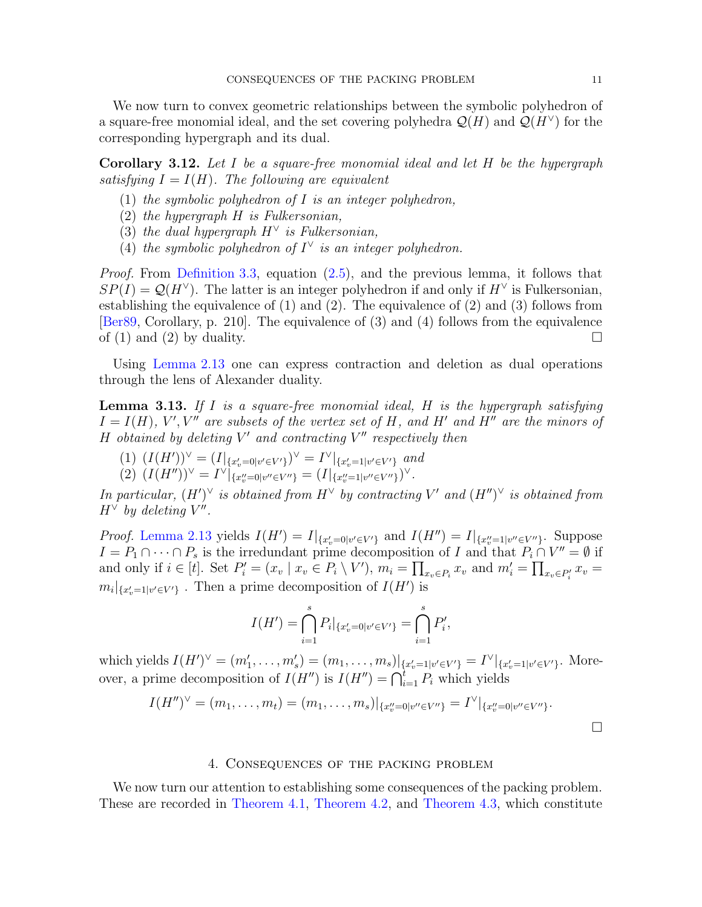We now turn to convex geometric relationships between the symbolic polyhedron of a square-free monomial ideal, and the set covering polyhedra  $\mathcal{Q}(H)$  and  $\mathcal{Q}(H^{\vee})$  for the corresponding hypergraph and its dual.

<span id="page-10-1"></span>Corollary 3.12. *Let* I *be a square-free monomial ideal and let* H *be the hypergraph satisfying*  $I = I(H)$ *. The following are equivalent* 

- (1) *the symbolic polyhedron of* I *is an integer polyhedron,*
- (2) *the hypergraph* H *is Fulkersonian,*
- (3) *the dual hypergraph* H<sup>∨</sup> *is Fulkersonian,*
- (4) *the symbolic polyhedron of*  $I^{\vee}$  *is an integer polyhedron.*

*Proof.* From [Definition 3.3,](#page-7-1) equation [\(2.5\)](#page-5-5), and the previous lemma, it follows that  $SP(I) = Q(H^{\vee})$ . The latter is an integer polyhedron if and only if  $H^{\vee}$  is Fulkersonian, establishing the equivalence of (1) and (2). The equivalence of (2) and (3) follows from [\[Ber89,](#page-19-15) Corollary, p. 210]. The equivalence of (3) and (4) follows from the equivalence of (1) and (2) by duality.  $\square$ 

<span id="page-10-2"></span>Using [Lemma 2.13](#page-6-4) one can express contraction and deletion as dual operations through the lens of Alexander duality.

Lemma 3.13. *If* I *is a square-free monomial ideal,* H *is the hypergraph satisfying*  $I = I(H)$ , V', V'' are subsets of the vertex set of H, and H' and H'' are the minors of H *obtained by deleting* V ′ *and contracting* V ′′ *respectively then*

 $(1)$   $(I(H'))^{\vee} = (I|_{\{x'_v=0|v'\in V'\}})^{\vee} = I^{\vee}|_{\{x'_v=1|v'\in V'\}}$  and (2)  $(I(H''))^{\vee} = I^{\vee}|_{\{x''_v=0|v'' \in V''\}} = (I|_{\{x''_v=1|v'' \in V''\}})^{\vee}.$ 

*In particular,*  $(H')^{\vee}$  *is obtained from*  $H^{\vee}$  *by contracting*  $V'$  *and*  $(H'')^{\vee}$  *is obtained from*  $H^{\vee}$  by deleting  $V''$ .

*Proof.* [Lemma 2.13](#page-6-4) yields  $I(H') = I|_{\{x'_v = 0 | v' \in V'\}}$  and  $I(H'') = I|_{\{x''_v = 1 | v'' \in V''\}}$ . Suppose  $I = P_1 \cap \cdots \cap P_s$  is the irredundant prime decomposition of I and that  $P_i \cap V'' = \emptyset$  if and only if  $i \in [t]$ . Set  $P'_i = (x_v \mid x_v \in P_i \setminus V')$ ,  $m_i = \prod_{x_v \in P_i} x_v$  and  $m'_i = \prod_{x_v \in P'_i} x_v =$  $m_i|_{\{x'_v=1|v'\in V'\}}$ . Then a prime decomposition of  $I(H')$  is

$$
I(H') = \bigcap_{i=1}^{s} P_i |_{\{x'_v = 0 | v' \in V'\}} = \bigcap_{i=1}^{s} P'_i,
$$

which yields  $I(H')^{\vee} = (m'_1, \ldots, m'_s) = (m_1, \ldots, m_s)|_{\{x'_v=1 | v' \in V'\}} = I^{\vee}|_{\{x'_v=1 | v' \in V'\}}.$  Moreover, a prime decomposition of  $I(H'')$  is  $I(H'') = \bigcap_{i=1}^{t} P_i$  which yields

$$
I(H'')^{\vee} = (m_1, \ldots, m_t) = (m_1, \ldots, m_s)|_{\{x''_v = 0 | v'' \in V''\}} = I^{\vee}|_{\{x''_v = 0 | v'' \in V''\}}.
$$

#### 4. Consequences of the packing problem

<span id="page-10-0"></span>We now turn our attention to establishing some consequences of the packing problem. These are recorded in [Theorem 4.1,](#page-11-0) [Theorem 4.2,](#page-11-1) and [Theorem 4.3,](#page-11-2) which constitute

 $\Box$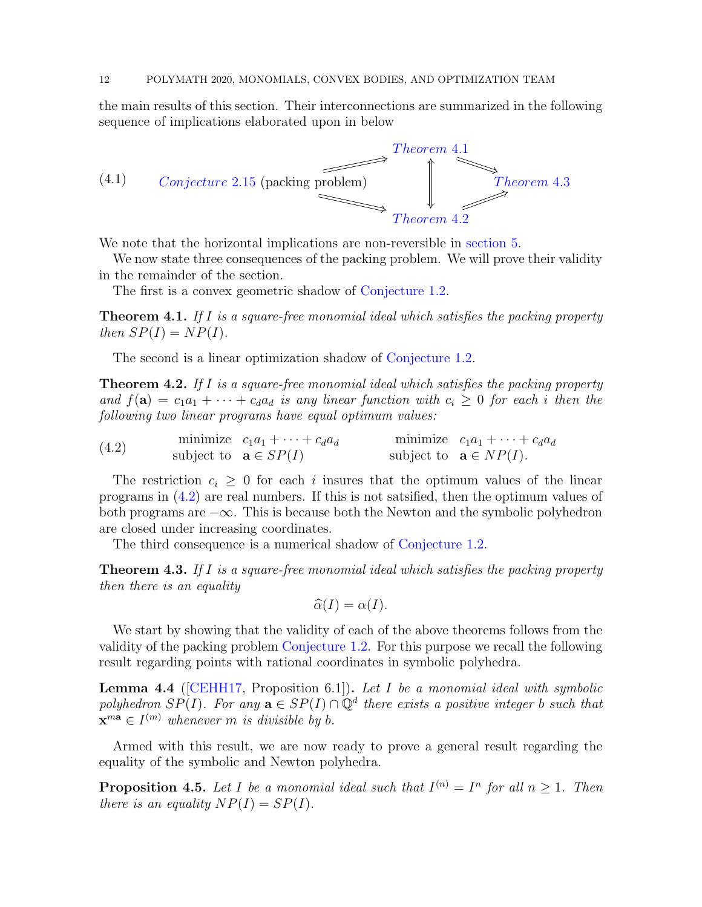the main results of this section. Their interconnections are summarized in the following sequence of implications elaborated upon in below

<span id="page-11-6"></span>

We note that the horizontal implications are non-reversible in [section 5.](#page-14-0)

We now state three consequences of the packing problem. We will prove their validity in the remainder of the section.

<span id="page-11-0"></span>The first is a convex geometric shadow of [Conjecture 1.2.](#page-1-0)

Theorem 4.1. *If* I *is a square-free monomial ideal which satisfies the packing property then*  $SP(I) = NP(I)$ *.* 

<span id="page-11-1"></span>The second is a linear optimization shadow of [Conjecture 1.2.](#page-1-0)

Theorem 4.2. *If* I *is a square-free monomial ideal which satisfies the packing property and*  $f(\mathbf{a}) = c_1 a_1 + \cdots + c_d a_d$  *is any linear function with*  $c_i \geq 0$  *for each i then the following two linear programs have equal optimum values:*

<span id="page-11-3"></span>(4.2) minimize  $c_1a_1 + \cdots + c_d a_d$  minimize  $c_1a_1 + \cdots + c_d a_d$ <br>subject to  $\mathbf{a} \in SP(I)$  subject to  $\mathbf{a} \in NP(I)$ *.* 

The restriction  $c_i \geq 0$  for each i insures that the optimum values of the linear programs in [\(4.2\)](#page-11-3) are real numbers. If this is not satsified, then the optimum values of both programs are −∞. This is because both the Newton and the symbolic polyhedron are closed under increasing coordinates.

<span id="page-11-2"></span>The third consequence is a numerical shadow of [Conjecture 1.2.](#page-1-0)

Theorem 4.3. *If* I *is a square-free monomial ideal which satisfies the packing property then there is an equality*

$$
\widehat{\alpha}(I) = \alpha(I).
$$

We start by showing that the validity of each of the above theorems follows from the validity of the packing problem [Conjecture 1.2.](#page-1-0) For this purpose we recall the following result regarding points with rational coordinates in symbolic polyhedra.

<span id="page-11-4"></span>Lemma 4.4 ([\[CEHH17,](#page-19-11) Proposition 6.1]). *Let* I *be a monomial ideal with symbolic polyhedron*  $SP(I)$ *. For any*  $\mathbf{a} \in SP(I) \cap \mathbb{Q}^d$  there exists a positive integer b such that  $\mathbf{x}^{m\mathbf{a}} \in I^{(m)}$  whenever *m* is divisible by b.

<span id="page-11-5"></span>Armed with this result, we are now ready to prove a general result regarding the equality of the symbolic and Newton polyhedra.

**Proposition 4.5.** Let I be a monomial ideal such that  $I^{(n)} = I^n$  for all  $n \geq 1$ . Then *there is an equality*  $NP(I) = SP(I)$ *.*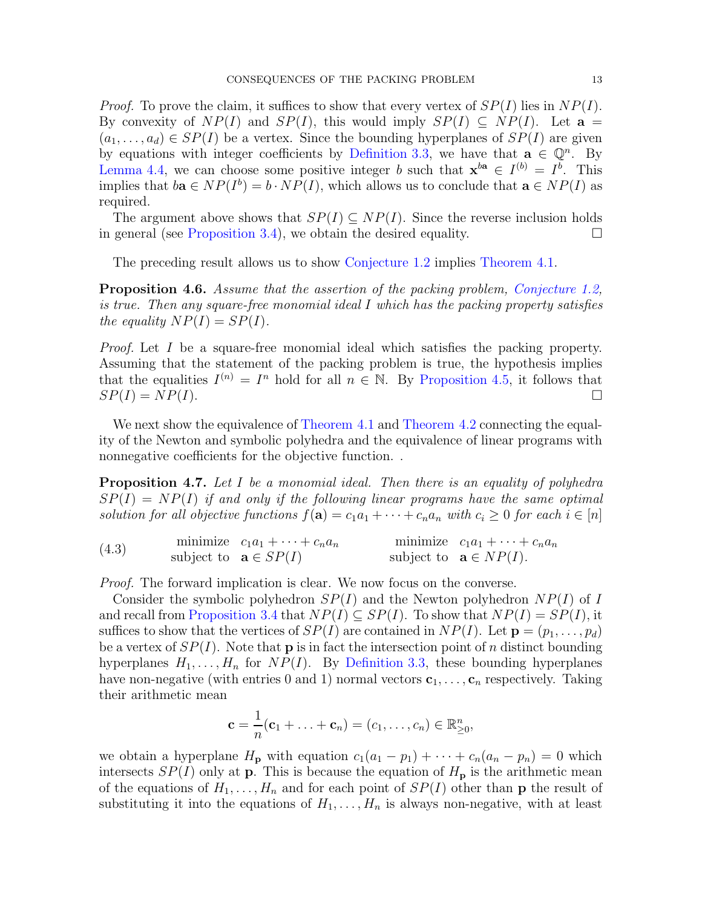*Proof.* To prove the claim, it suffices to show that every vertex of  $SP(I)$  lies in  $NP(I)$ . By convexity of  $NP(I)$  and  $SP(I)$ , this would imply  $SP(I) \subseteq NP(I)$ . Let  $\mathbf{a} =$  $(a_1, \ldots, a_d) \in SP(I)$  be a vertex. Since the bounding hyperplanes of  $SP(I)$  are given by equations with integer coefficients by [Definition 3.3,](#page-7-1) we have that  $\mathbf{a} \in \mathbb{Q}^n$ . By [Lemma 4.4,](#page-11-4) we can choose some positive integer b such that  $\mathbf{x}^{ba} \in I^{(b)} = I^b$ . This implies that  $b\mathbf{a} \in NP(I^b) = b \cdot NP(I)$ , which allows us to conclude that  $\mathbf{a} \in NP(I)$  as required.

The argument above shows that  $SP(I) \subseteq NP(I)$ . Since the reverse inclusion holds in general (see [Proposition 3.4\)](#page-7-3), we obtain the desired equality.  $\Box$ 

<span id="page-12-1"></span>The preceding result allows us to show [Conjecture 1.2](#page-1-0) implies [Theorem 4.1.](#page-11-0)

Proposition 4.6. *Assume that the assertion of the packing problem, [Conjecture 1.2,](#page-1-0) is true. Then any square-free monomial ideal* I *which has the packing property satisfies the equality*  $NP(I) = SP(I)$ *.* 

*Proof.* Let I be a square-free monomial ideal which satisfies the packing property. Assuming that the statement of the packing problem is true, the hypothesis implies that the equalities  $I^{(n)} = I^n$  hold for all  $n \in \mathbb{N}$ . By [Proposition 4.5,](#page-11-5) it follows that  $SP(I) = NP(I).$ 

We next show the equivalence of [Theorem 4.1](#page-11-0) and [Theorem 4.2](#page-11-1) connecting the equality of the Newton and symbolic polyhedra and the equivalence of linear programs with nonnegative coefficients for the objective function. .

Proposition 4.7. *Let* I *be a monomial ideal. Then there is an equality of polyhedra* SP(I) = NP(I) *if and only if the following linear programs have the same optimal solution for all objective functions*  $f(\mathbf{a}) = c_1a_1 + \cdots + c_na_n$  *with*  $c_i \geq 0$  *for each*  $i \in [n]$ 

<span id="page-12-0"></span>(4.3) minimize 
$$
c_1a_1 + \cdots + c_na_n
$$
 minimize  $c_1a_1 + \cdots + c_na_n$   
subject to  $\mathbf{a} \in SP(I)$  subject to  $\mathbf{a} \in NP(I)$ .

*Proof.* The forward implication is clear. We now focus on the converse.

Consider the symbolic polyhedron  $SP(I)$  and the Newton polyhedron  $NP(I)$  of I and recall from [Proposition 3.4](#page-7-3) that  $NP(I) \subseteq SP(I)$ . To show that  $NP(I) = SP(I)$ , it suffices to show that the vertices of  $SP(I)$  are contained in  $NP(I)$ . Let  $\mathbf{p} = (p_1, \ldots, p_d)$ be a vertex of  $SP(I)$ . Note that **p** is in fact the intersection point of n distinct bounding hyperplanes  $H_1, \ldots, H_n$  for  $NP(I)$ . By [Definition 3.3,](#page-7-1) these bounding hyperplanes have non-negative (with entries 0 and 1) normal vectors  $c_1, \ldots, c_n$  respectively. Taking their arithmetic mean

$$
\mathbf{c} = \frac{1}{n}(\mathbf{c}_1 + \ldots + \mathbf{c}_n) = (c_1, \ldots, c_n) \in \mathbb{R}_{\geq 0}^n,
$$

we obtain a hyperplane  $H_p$  with equation  $c_1(a_1 - p_1) + \cdots + c_n(a_n - p_n) = 0$  which intersects  $SP(I)$  only at **p**. This is because the equation of  $H<sub>p</sub>$  is the arithmetic mean of the equations of  $H_1, \ldots, H_n$  and for each point of  $SP(I)$  other than **p** the result of substituting it into the equations of  $H_1, \ldots, H_n$  is always non-negative, with at least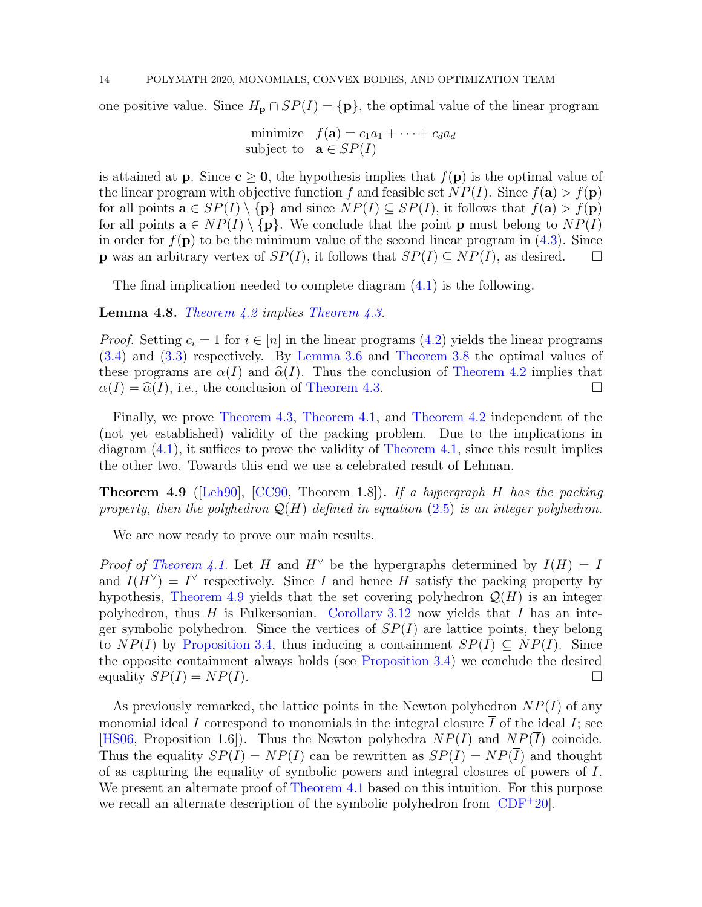one positive value. Since  $H_p \cap SP(I) = \{p\}$ , the optimal value of the linear program

minimize  $f(\mathbf{a}) = c_1a_1 + \cdots + c_d a_d$ subject to  $\mathbf{a} \in SP(I)$ 

is attained at **p**. Since  $c > 0$ , the hypothesis implies that  $f(p)$  is the optimal value of the linear program with objective function f and feasible set  $NP(I)$ . Since  $f(\mathbf{a}) > f(\mathbf{p})$ for all points  $\mathbf{a} \in SP(I) \setminus \{ \mathbf{p} \}$  and since  $NP(I) \subseteq SP(I)$ , it follows that  $f(\mathbf{a}) > f(\mathbf{p})$ for all points  $\mathbf{a} \in NP(I) \setminus \{\mathbf{p}\}\)$ . We conclude that the point **p** must belong to  $NP(I)$ in order for  $f(\mathbf{p})$  to be the minimum value of the second linear program in [\(4.3\)](#page-12-0). Since **p** was an arbitrary vertex of  $SP(I)$ , it follows that  $SP(I) \subseteq NP(I)$ , as desired.  $\square$ 

The final implication needed to complete diagram  $(4.1)$  is the following.

Lemma 4.8. *[Theorem 4.2](#page-11-1) implies [Theorem 4.3.](#page-11-2)*

*Proof.* Setting  $c_i = 1$  for  $i \in [n]$  in the linear programs  $(4.2)$  yields the linear programs [\(3.4\)](#page-9-1) and [\(3.3\)](#page-8-1) respectively. By [Lemma 3.6](#page-8-4) and [Theorem 3.8](#page-9-2) the optimal values of these programs are  $\alpha(I)$  and  $\widehat{\alpha}(I)$ . Thus the conclusion of [Theorem 4.2](#page-11-1) implies that  $\alpha(I) = \widehat{\alpha}(I)$ , i.e., the conclusion of Theorem 4.3.  $\alpha(I) = \hat{\alpha}(I)$ , i.e., the conclusion of [Theorem 4.3.](#page-11-2)

Finally, we prove [Theorem 4.3,](#page-11-2) [Theorem 4.1,](#page-11-0) and [Theorem 4.2](#page-11-1) independent of the (not yet established) validity of the packing problem. Due to the implications in diagram [\(4.1\)](#page-11-6), it suffices to prove the validity of [Theorem 4.1,](#page-11-0) since this result implies the other two. Towards this end we use a celebrated result of Lehman.

<span id="page-13-0"></span>Theorem 4.9 ([\[Leh90\]](#page-19-16), [\[CC90,](#page-19-0) Theorem 1.8]). *If a hypergraph* H *has the packing property, then the polyhedron* Q(H) *defined in equation* [\(2.5\)](#page-5-5) *is an integer polyhedron.*

We are now ready to prove our main results.

*Proof of [Theorem 4.1.](#page-11-0)* Let H and  $H^{\vee}$  be the hypergraphs determined by  $I(H) = I$ and  $I(H^{\vee}) = I^{\vee}$  respectively. Since I and hence H satisfy the packing property by hypothesis, [Theorem 4.9](#page-13-0) yields that the set covering polyhedron  $\mathcal{Q}(H)$  is an integer polyhedron, thus H is Fulkersonian. [Corollary 3.12](#page-10-1) now yields that I has an integer symbolic polyhedron. Since the vertices of  $SP(I)$  are lattice points, they belong to  $NP(I)$  by [Proposition 3.4,](#page-7-3) thus inducing a containment  $SP(I) \subseteq NP(I)$ . Since the opposite containment always holds (see [Proposition 3.4\)](#page-7-3) we conclude the desired equality  $SP(I) = NP(I)$ .

As previously remarked, the lattice points in the Newton polyhedron  $NP(I)$  of any monomial ideal I correspond to monomials in the integral closure  $\overline{I}$  of the ideal I; see [\[HS06,](#page-19-12) Proposition 1.6]). Thus the Newton polyhedra  $NP(I)$  and  $NP(\overline{I})$  coincide. Thus the equality  $SP(I) = NP(I)$  can be rewritten as  $SP(I) = NP(\overline{I})$  and thought of as capturing the equality of symbolic powers and integral closures of powers of I. We present an alternate proof of [Theorem 4.1](#page-11-0) based on this intuition. For this purpose we recall an alternate description of the symbolic polyhedron from  $[CDF^+20]$ .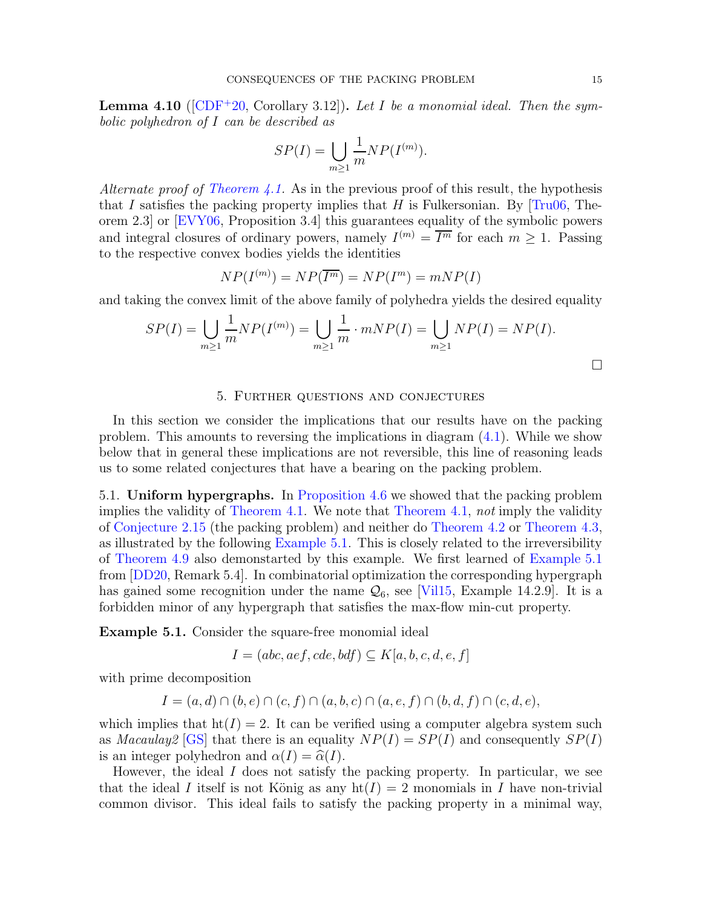Lemma 4.10 ([\[CDF](#page-19-9)<sup>+</sup>20, Corollary 3.12]). *Let* I *be a monomial ideal. Then the symbolic polyhedron of* I *can be described as*

$$
SP(I) = \bigcup_{m \ge 1} \frac{1}{m} NP(I^{(m)}).
$$

*Alternate proof of [Theorem 4.1.](#page-11-0)* As in the previous proof of this result, the hypothesis that I satisfies the packing property implies that H is Fulkersonian. By  $[Tru06, The$ orem 2.3] or [\[EVY06,](#page-19-10) Proposition 3.4] this guarantees equality of the symbolic powers and integral closures of ordinary powers, namely  $I^{(m)} = \overline{I^m}$  for each  $m \geq 1$ . Passing to the respective convex bodies yields the identities

$$
NP(I^{(m)}) = NP(\overline{I^m}) = NP(I^m) = mNP(I)
$$

and taking the convex limit of the above family of polyhedra yields the desired equality

$$
SP(I) = \bigcup_{m \ge 1} \frac{1}{m} NP(I^{(m)}) = \bigcup_{m \ge 1} \frac{1}{m} \cdot mNP(I) = \bigcup_{m \ge 1} NP(I) = NP(I).
$$

# 5. Further questions and conjectures

<span id="page-14-0"></span>In this section we consider the implications that our results have on the packing problem. This amounts to reversing the implications in diagram [\(4.1\)](#page-11-6). While we show below that in general these implications are not reversible, this line of reasoning leads us to some related conjectures that have a bearing on the packing problem.

5.1. Uniform hypergraphs. In [Proposition 4.6](#page-12-1) we showed that the packing problem implies the validity of [Theorem 4.1.](#page-11-0) We note that [Theorem 4.1,](#page-11-0) *not* imply the validity of [Conjecture 2.15](#page-6-0) (the packing problem) and neither do [Theorem 4.2](#page-11-1) or [Theorem 4.3,](#page-11-2) as illustrated by the following [Example 5.1.](#page-14-1) This is closely related to the irreversibility of [Theorem 4.9](#page-13-0) also demonstarted by this example. We first learned of [Example 5.1](#page-14-1) from [\[DD20,](#page-19-17) Remark 5.4]. In combinatorial optimization the corresponding hypergraph has gained some recognition under the name  $\mathcal{Q}_6$ , see [\[Vil15,](#page-20-0) Example 14.2.9]. It is a forbidden minor of any hypergraph that satisfies the max-flow min-cut property.

<span id="page-14-1"></span>Example 5.1. Consider the square-free monomial ideal

$$
I = (abc, aef, cde, bdf) \subseteq K[a, b, c, d, e, f]
$$

with prime decomposition

$$
I = (a, d) \cap (b, e) \cap (c, f) \cap (a, b, c) \cap (a, e, f) \cap (b, d, f) \cap (c, d, e),
$$

which implies that  $h(f) = 2$ . It can be verified using a computer algebra system such as *Macaulay* [\[GS\]](#page-19-18) that there is an equality  $NP(I) = SP(I)$  and consequently  $SP(I)$ is an integer polyhedron and  $\alpha(I) = \hat{\alpha}(I)$ .

However, the ideal  $I$  does not satisfy the packing property. In particular, we see that the ideal I itself is not König as any  $\text{ht}(I) = 2$  monomials in I have non-trivial common divisor. This ideal fails to satisfy the packing property in a minimal way,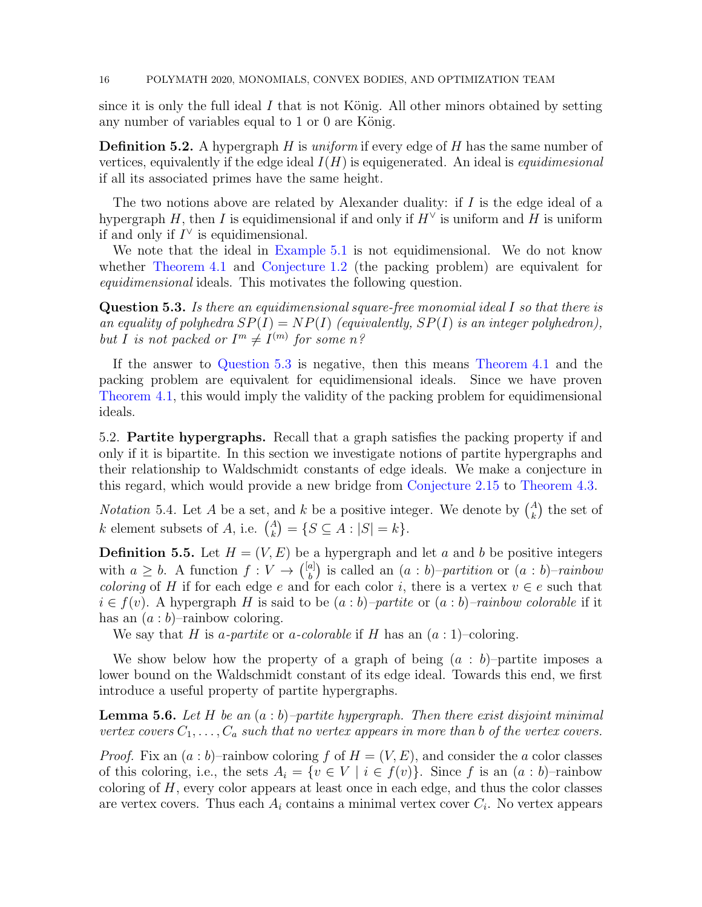since it is only the full ideal I that is not König. All other minors obtained by setting any number of variables equal to 1 or 0 are König.

Definition 5.2. A hypergraph H is *uniform* if every edge of H has the same number of vertices, equivalently if the edge ideal I(H) is equigenerated. An ideal is *equidimesional* if all its associated primes have the same height.

The two notions above are related by Alexander duality: if  $I$  is the edge ideal of a hypergraph H, then I is equidimensional if and only if  $H^{\vee}$  is uniform and H is uniform if and only if  $I^{\vee}$  is equidimensional.

We note that the ideal in [Example 5.1](#page-14-1) is not equidimensional. We do not know whether [Theorem 4.1](#page-11-0) and [Conjecture 1.2](#page-1-0) (the packing problem) are equivalent for *equidimensional* ideals. This motivates the following question.

<span id="page-15-0"></span>Question 5.3. *Is there an equidimensional square-free monomial ideal* I *so that there is an equality of polyhedra*  $SP(I) = NP(I)$  *(equivalently,*  $SP(I)$  *is an integer polyhedron),* but *I* is not packed or  $I^m \neq I^{(m)}$  for some n?

If the answer to [Question 5.3](#page-15-0) is negative, then this means [Theorem 4.1](#page-11-0) and the packing problem are equivalent for equidimensional ideals. Since we have proven [Theorem 4.1,](#page-11-0) this would imply the validity of the packing problem for equidimensional ideals.

5.2. Partite hypergraphs. Recall that a graph satisfies the packing property if and only if it is bipartite. In this section we investigate notions of partite hypergraphs and their relationship to Waldschmidt constants of edge ideals. We make a conjecture in this regard, which would provide a new bridge from [Conjecture 2.15](#page-6-0) to [Theorem 4.3.](#page-11-2)

*Notation* 5.4. Let A be a set, and k be a positive integer. We denote by  $\binom{A}{k}$  the set of k element subsets of A, i.e.  $\binom{A}{k} = \{ S \subseteq A : |S| = k \}.$ 

**Definition 5.5.** Let  $H = (V, E)$  be a hypergraph and let a and b be positive integers with  $a \geq b$ . A function  $f: V \to \binom{[a]}{b}$ b is called an (a : b)–*partition* or (a : b)–*rainbow coloring* of H if for each edge e and for each color i, there is a vertex  $v \in e$  such that  $i \in f(v)$ . A hypergraph H is said to be  $(a:b)$ *–partite* or  $(a:b)$ *–rainbow colorable* if it has an  $(a:b)$ –rainbow coloring.

We say that H is *a-partite* or *a-colorable* if H has an  $(a:1)$ –coloring.

We show below how the property of a graph of being  $(a : b)$ –partite imposes a lower bound on the Waldschmidt constant of its edge ideal. Towards this end, we first introduce a useful property of partite hypergraphs.

<span id="page-15-1"></span>Lemma 5.6. *Let* H *be an* (a : b)*–partite hypergraph. Then there exist disjoint minimal vertex covers*  $C_1, \ldots, C_a$  *such that no vertex appears in more than* b *of the vertex covers.* 

*Proof.* Fix an  $(a : b)$ –rainbow coloring f of  $H = (V, E)$ , and consider the a color classes of this coloring, i.e., the sets  $A_i = \{v \in V \mid i \in f(v)\}\)$ . Since f is an  $(a : b)$ -rainbow coloring of  $H$ , every color appears at least once in each edge, and thus the color classes are vertex covers. Thus each  $A_i$  contains a minimal vertex cover  $C_i$ . No vertex appears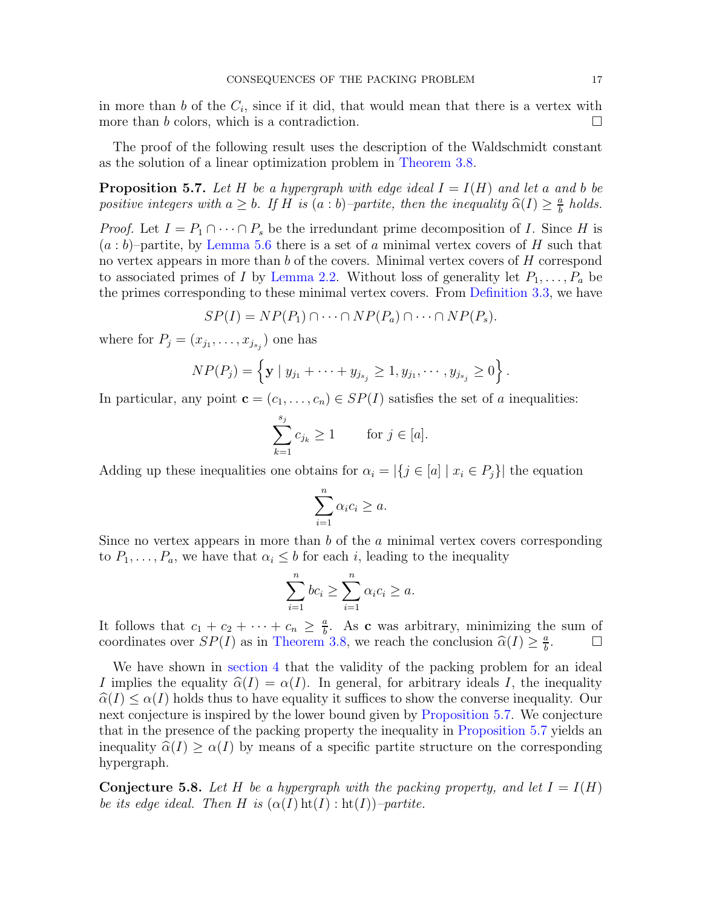in more than b of the  $C_i$ , since if it did, that would mean that there is a vertex with more than b colors, which is a contradiction.  $\Box$ 

<span id="page-16-0"></span>The proof of the following result uses the description of the Waldschmidt constant as the solution of a linear optimization problem in [Theorem 3.8.](#page-9-2)

**Proposition 5.7.** Let H be a hypergraph with edge ideal  $I = I(H)$  and let a and b be *positive integers with*  $a \geq b$ *. If* H *is*  $(a:b)$ *–partite, then the inequality*  $\widehat{\alpha}(I) \geq \frac{a}{b}$  $\frac{a}{b}$  *holds.* 

*Proof.* Let  $I = P_1 \cap \cdots \cap P_s$  be the irredundant prime decomposition of I. Since H is  $(a:b)$ –partite, by [Lemma 5.6](#page-15-1) there is a set of a minimal vertex covers of H such that no vertex appears in more than b of the covers. Minimal vertex covers of H correspond to associated primes of I by [Lemma 2.2.](#page-3-1) Without loss of generality let  $P_1, \ldots, P_a$  be the primes corresponding to these minimal vertex covers. From [Definition 3.3,](#page-7-1) we have

$$
SP(I) = NP(P_1) \cap \cdots \cap NP(P_a) \cap \cdots \cap NP(P_s).
$$

where for  $P_j = (x_{j_1}, \ldots, x_{j_{s_j}})$  one has

$$
NP(P_j) = \left\{ \mathbf{y} \mid y_{j_1} + \cdots + y_{j_{s_j}} \ge 1, y_{j_1}, \cdots, y_{j_{s_j}} \ge 0 \right\}.
$$

In particular, any point  $\mathbf{c} = (c_1, \ldots, c_n) \in SP(I)$  satisfies the set of a inequalities:

$$
\sum_{k=1}^{s_j} c_{j_k} \ge 1 \quad \text{for } j \in [a].
$$

Adding up these inequalities one obtains for  $\alpha_i = |\{j \in [a] \mid x_i \in P_j\}|$  the equation

$$
\sum_{i=1}^{n} \alpha_i c_i \ge a.
$$

Since no vertex appears in more than b of the a minimal vertex covers corresponding to  $P_1, \ldots, P_a$ , we have that  $\alpha_i \leq b$  for each i, leading to the inequality

$$
\sum_{i=1}^{n} bc_i \ge \sum_{i=1}^{n} \alpha_i c_i \ge a.
$$

It follows that  $c_1 + c_2 + \cdots + c_n \geq \frac{a}{b}$  $\frac{a}{b}$ . As **c** was arbitrary, minimizing the sum of coordinates over  $SP(I)$  as in [Theorem 3.8,](#page-9-2) we reach the conclusion  $\widehat{\alpha}(I) \geq \frac{a}{b}$ b . D

We have shown in [section 4](#page-10-0) that the validity of the packing problem for an ideal I implies the equality  $\hat{\alpha}(I) = \alpha(I)$ . In general, for arbitrary ideals I, the inequality  $\hat{\alpha}(I) \leq \alpha(I)$  holds thus to have equality it suffices to show the converse inequality. Our next conjecture is inspired by the lower bound given by [Proposition 5.7.](#page-16-0) We conjecture that in the presence of the packing property the inequality in [Proposition 5.7](#page-16-0) yields an inequality  $\hat{\alpha}(I) \geq \alpha(I)$  by means of a specific partite structure on the corresponding hypergraph.

**Conjecture 5.8.** Let H be a hypergraph with the packing property, and let  $I = I(H)$ *be its edge ideal. Then* H *is*  $(\alpha(I)$   $ht(I)$  :  $ht(I))$ *–partite.*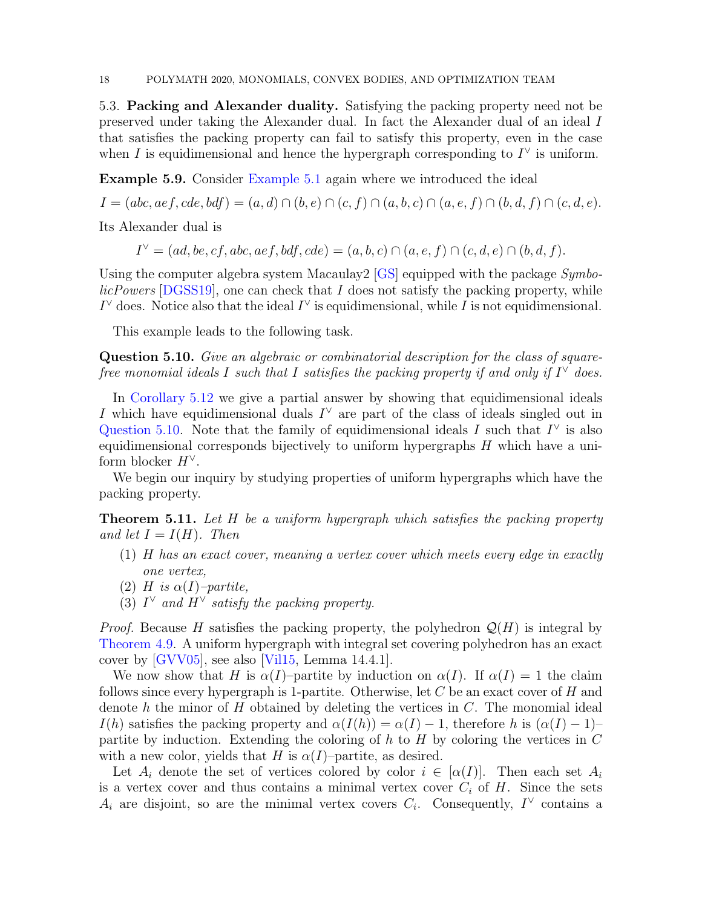5.3. Packing and Alexander duality. Satisfying the packing property need not be preserved under taking the Alexander dual. In fact the Alexander dual of an ideal I that satisfies the packing property can fail to satisfy this property, even in the case when I is equidimensional and hence the hypergraph corresponding to  $I^{\vee}$  is uniform.

Example 5.9. Consider [Example 5.1](#page-14-1) again where we introduced the ideal

 $I = (abc, aef, cde, bdf) = (a, d) \cap (b, e) \cap (c, f) \cap (a, b, c) \cap (a, e, f) \cap (b, d, f) \cap (c, d, e).$ 

Its Alexander dual is

 $I^{\vee} = (ad, be, cf, abc, aef, bdf, cde) = (a, b, c) \cap (a, e, f) \cap (c, d, e) \cap (b, d, f).$ 

Using the computer algebra system Macaulay2 [\[GS\]](#page-19-18) equipped with the package *SymbolicPowers* [\[DGSS19\]](#page-19-19), one can check that I does not satisfy the packing property, while  $I^{\vee}$  does. Notice also that the ideal  $I^{\vee}$  is equidimensional, while I is not equidimensional.

<span id="page-17-0"></span>This example leads to the following task.

Question 5.10. *Give an algebraic or combinatorial description for the class of squarefree monomial ideals* I such that I satisfies the packing property if and only if  $I^{\vee}$  does.

In [Corollary 5.12](#page-18-1) we give a partial answer by showing that equidimensional ideals I which have equidimensional duals  $I^{\vee}$  are part of the class of ideals singled out in [Question 5.10.](#page-17-0) Note that the family of equidimensional ideals I such that  $I^{\vee}$  is also equidimensional corresponds bijectively to uniform hypergraphs  $H$  which have a uniform blocker  $H^{\vee}$ .

<span id="page-17-1"></span>We begin our inquiry by studying properties of uniform hypergraphs which have the packing property.

Theorem 5.11. *Let* H *be a uniform hypergraph which satisfies the packing property and let*  $I = I(H)$ *. Then* 

- (1) H *has an exact cover, meaning a vertex cover which meets every edge in exactly one vertex,*
- (2) H is  $\alpha(I)$ *-partite*,
- (3)  $I^{\vee}$  and  $H^{\vee}$  satisfy the packing property.

*Proof.* Because H satisfies the packing property, the polyhedron  $\mathcal{Q}(H)$  is integral by [Theorem 4.9.](#page-13-0) A uniform hypergraph with integral set covering polyhedron has an exact cover by [\[GVV05\]](#page-19-1), see also [\[Vil15,](#page-20-0) Lemma 14.4.1].

We now show that H is  $\alpha(I)$ –partite by induction on  $\alpha(I)$ . If  $\alpha(I) = 1$  the claim follows since every hypergraph is 1-partite. Otherwise, let  $C$  be an exact cover of  $H$  and denote h the minor of H obtained by deleting the vertices in  $C$ . The monomial ideal  $I(h)$  satisfies the packing property and  $\alpha(I(h)) = \alpha(I) - 1$ , therefore h is  $(\alpha(I) - 1)$ – partite by induction. Extending the coloring of  $h$  to  $H$  by coloring the vertices in  $C$ with a new color, yields that H is  $\alpha(I)$ –partite, as desired.

Let  $A_i$  denote the set of vertices colored by color  $i \in [\alpha(I)]$ . Then each set  $A_i$ is a vertex cover and thus contains a minimal vertex cover  $C_i$  of H. Since the sets  $A_i$  are disjoint, so are the minimal vertex covers  $C_i$ . Consequently,  $I^{\vee}$  contains a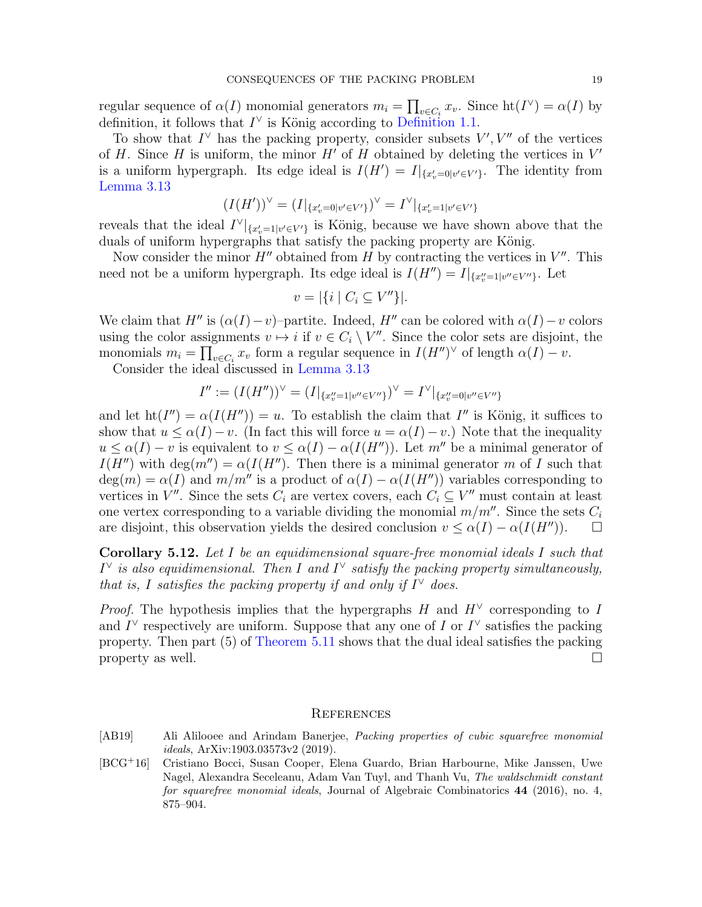regular sequence of  $\alpha(I)$  monomial generators  $m_i = \prod_{v \in C_i} x_v$ . Since  $\text{ht}(I^{\vee}) = \alpha(I)$  by definition, it follows that  $I^{\vee}$  is König according to [Definition 1.1.](#page-1-1)

To show that  $I^{\vee}$  has the packing property, consider subsets  $V', V''$  of the vertices of H. Since H is uniform, the minor  $H'$  of H obtained by deleting the vertices in  $V'$ is a uniform hypergraph. Its edge ideal is  $I(H') = I|_{\{x'_v=0 | v' \in V'\}}$ . The identity from [Lemma 3.13](#page-10-2)

$$
(I(H'))^{\vee} = (I|_{\{x'_v = 0 | v' \in V'\}})^{\vee} = I^{\vee}|_{\{x'_v = 1 | v' \in V'\}}
$$

reveals that the ideal  $I^{\vee}|_{\{x'_v=1|v'\in V'\}}$  is König, because we have shown above that the duals of uniform hypergraphs that satisfy the packing property are König.

Now consider the minor  $H''$  obtained from H by contracting the vertices in  $V''$ . This need not be a uniform hypergraph. Its edge ideal is  $I(H'') = I|_{\{x''_v=1 | v'' \in V''\}}$ . Let

$$
v = |\{i \mid C_i \subseteq V''\}|.
$$

We claim that H'' is  $(\alpha(I)-v)$ –partite. Indeed, H'' can be colored with  $\alpha(I)-v$  colors using the color assignments  $v \mapsto i$  if  $v \in C_i \setminus V''$ . Since the color sets are disjoint, the monomials  $m_i = \prod_{v \in C_i} x_v$  form a regular sequence in  $I(H'')^{\vee}$  of length  $\alpha(I) - v$ .

Consider the ideal discussed in [Lemma 3.13](#page-10-2)

$$
I'':=(I(H''))^{\vee}=(I|_{\{x''_v=1|v''\in V''\}})^{\vee}=I^{\vee}|_{\{x''_v=0|v''\in V''\}}
$$

and let  $\text{ht}(I'') = \alpha(I(H'')) = u$ . To establish the claim that I'' is König, it suffices to show that  $u \leq \alpha(I) - v$ . (In fact this will force  $u = \alpha(I) - v$ .) Note that the inequality  $u \leq \alpha(I) - v$  is equivalent to  $v \leq \alpha(I) - \alpha(I(H''))$ . Let m'' be a minimal generator of  $I(H'')$  with deg( $m''$ ) =  $\alpha(I(H'')$ . Then there is a minimal generator m of I such that  $deg(m) = \alpha(I)$  and  $m/m'$  is a product of  $\alpha(I) - \alpha(I(H''))$  variables corresponding to vertices in  $V''$ . Since the sets  $C_i$  are vertex covers, each  $C_i \subseteq V''$  must contain at least one vertex corresponding to a variable dividing the monomial  $m/m''$ . Since the sets  $C_i$ are disjoint, this observation yields the desired conclusion  $v \leq \alpha(I) - \alpha(I(H''))$ .  $\Box$ 

<span id="page-18-1"></span>Corollary 5.12. *Let* I *be an equidimensional square-free monomial ideals* I *such that*  $I^{\vee}$  is also equidimensional. Then I and  $I^{\vee}$  satisfy the packing property simultaneously, *that is,* I satisfies the packing property if and only if  $I^{\vee}$  does.

*Proof.* The hypothesis implies that the hypergraphs  $H$  and  $H^{\vee}$  corresponding to I and  $I^{\vee}$  respectively are uniform. Suppose that any one of I or  $I^{\vee}$  satisfies the packing property. Then part (5) of [Theorem 5.11](#page-17-1) shows that the dual ideal satisfies the packing property as well.  $\Box$ 

### **REFERENCES**

- <span id="page-18-0"></span>[AB19] Ali Alilooee and Arindam Banerjee, *Packing properties of cubic squarefree monomial ideals*, ArXiv:1903.03573v2 (2019).
- <span id="page-18-2"></span>[BCG<sup>+</sup>16] Cristiano Bocci, Susan Cooper, Elena Guardo, Brian Harbourne, Mike Janssen, Uwe Nagel, Alexandra Seceleanu, Adam Van Tuyl, and Thanh Vu, *The waldschmidt constant for squarefree monomial ideals*, Journal of Algebraic Combinatorics 44 (2016), no. 4, 875–904.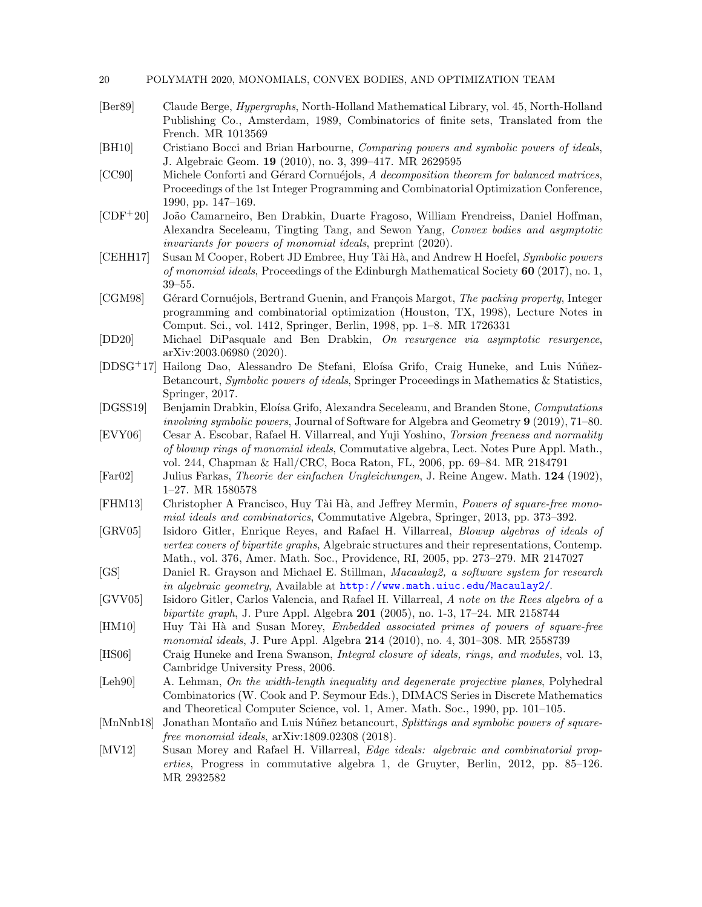- 20 POLYMATH 2020, MONOMIALS, CONVEX BODIES, AND OPTIMIZATION TEAM
- <span id="page-19-15"></span>[Ber89] Claude Berge, *Hypergraphs*, North-Holland Mathematical Library, vol. 45, North-Holland Publishing Co., Amsterdam, 1989, Combinatorics of finite sets, Translated from the French. MR 1013569
- <span id="page-19-13"></span>[BH10] Cristiano Bocci and Brian Harbourne, *Comparing powers and symbolic powers of ideals*, J. Algebraic Geom. 19 (2010), no. 3, 399–417. MR 2629595
- <span id="page-19-0"></span>[CC90] Michele Conforti and Gérard Cornuéjols, *A decomposition theorem for balanced matrices*, Proceedings of the 1st Integer Programming and Combinatorial Optimization Conference, 1990, pp. 147–169.
- <span id="page-19-9"></span>[CDF+20] Jo˜ao Camarneiro, Ben Drabkin, Duarte Fragoso, William Frendreiss, Daniel Hoffman, Alexandra Seceleanu, Tingting Tang, and Sewon Yang, *Convex bodies and asymptotic invariants for powers of monomial ideals*, preprint (2020).
- <span id="page-19-11"></span>[CEHH17] Susan M Cooper, Robert JD Embree, Huy T`ai H`a, and Andrew H Hoefel, *Symbolic powers of monomial ideals*, Proceedings of the Edinburgh Mathematical Society 60 (2017), no. 1, 39–55.
- <span id="page-19-4"></span>[CGM98] Gérard Cornuéjols, Bertrand Guenin, and François Margot, *The packing property*, Integer programming and combinatorial optimization (Houston, TX, 1998), Lecture Notes in Comput. Sci., vol. 1412, Springer, Berlin, 1998, pp. 1–8. MR 1726331
- <span id="page-19-17"></span>[DD20] Michael DiPasquale and Ben Drabkin, *On resurgence via asymptotic resurgence*, arXiv:2003.06980 (2020).
- <span id="page-19-3"></span>[DDSG<sup>+</sup>17] Hailong Dao, Alessandro De Stefani, Eloísa Grifo, Craig Huneke, and Luis Núñez-Betancourt, *Symbolic powers of ideals*, Springer Proceedings in Mathematics & Statistics, Springer, 2017.
- <span id="page-19-19"></span>[DGSS19] Benjamin Drabkin, Elo´ısa Grifo, Alexandra Seceleanu, and Branden Stone, *Computations involving symbolic powers*, Journal of Software for Algebra and Geometry 9 (2019), 71–80.
- <span id="page-19-10"></span>[EVY06] Cesar A. Escobar, Rafael H. Villarreal, and Yuji Yoshino, *Torsion freeness and normality of blowup rings of monomial ideals*, Commutative algebra, Lect. Notes Pure Appl. Math., vol. 244, Chapman & Hall/CRC, Boca Raton, FL, 2006, pp. 69–84. MR 2184791
- <span id="page-19-14"></span>[Far02] Julius Farkas, *Theorie der einfachen Ungleichungen*, J. Reine Angew. Math. 124 (1902), 1–27. MR 1580578
- <span id="page-19-2"></span>[FHM13] Christopher A Francisco, Huy Tài Hà, and Jeffrey Mermin, *Powers of square-free monomial ideals and combinatorics*, Commutative Algebra, Springer, 2013, pp. 373–392.
- <span id="page-19-5"></span>[GRV05] Isidoro Gitler, Enrique Reyes, and Rafael H. Villarreal, *Blowup algebras of ideals of vertex covers of bipartite graphs*, Algebraic structures and their representations, Contemp. Math., vol. 376, Amer. Math. Soc., Providence, RI, 2005, pp. 273–279. MR 2147027
- <span id="page-19-18"></span>[GS] Daniel R. Grayson and Michael E. Stillman, *Macaulay2, a software system for research in algebraic geometry*, Available at <http://www.math.uiuc.edu/Macaulay2/>.
- <span id="page-19-1"></span>[GVV05] Isidoro Gitler, Carlos Valencia, and Rafael H. Villarreal, *A note on the Rees algebra of a bipartite graph*, J. Pure Appl. Algebra 201 (2005), no. 1-3, 17–24. MR 2158744
- <span id="page-19-6"></span>[HM10] Huy Tài Hà and Susan Morey, *Embedded associated primes of powers of square-free monomial ideals*, J. Pure Appl. Algebra 214 (2010), no. 4, 301–308. MR 2558739
- <span id="page-19-12"></span>[HS06] Craig Huneke and Irena Swanson, *Integral closure of ideals, rings, and modules*, vol. 13, Cambridge University Press, 2006.
- <span id="page-19-16"></span>[Leh90] A. Lehman, *On the width-length inequality and degenerate projective planes*, Polyhedral Combinatorics (W. Cook and P. Seymour Eds.), DIMACS Series in Discrete Mathematics and Theoretical Computer Science, vol. 1, Amer. Math. Soc., 1990, pp. 101–105.
- <span id="page-19-8"></span>[MnNnb18] Jonathan Montaño and Luis Núñez betancourt, *Splittings and symbolic powers of squarefree monomial ideals*, arXiv:1809.02308 (2018).
- <span id="page-19-7"></span>[MV12] Susan Morey and Rafael H. Villarreal, *Edge ideals: algebraic and combinatorial properties*, Progress in commutative algebra 1, de Gruyter, Berlin, 2012, pp. 85–126. MR 2932582